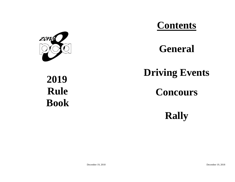

# **Contents**

**General** 

**2019Rule Book** 

# **Driving Events**

# **Concours**

**Rally**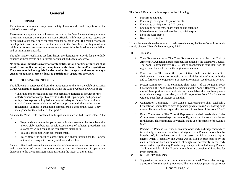# **General**

# **I PURPOSE**

The intent of these rules is to promote safety, fairness and equal competition in the spirit of sportsmanship.

These rules are applicable to all events declared to be Zone 8 events through mutual agreement amongst the regional and zone officials. While not required, regions are encouraged to use these rules for their regional events as well. If a region chooses to develop their own rules for events that are not in the Zone 8 series, they must, at a minimum, follow insurance requirements and meet PCA National event guidelines and/or minimum standards.

The rules and/or regulations set forth herein are designed to provide for the orderly conduct of these events and to further participant and spectator safety.

**No express or implied warranty of safety or fitness for a particular purpose shall result from publication of, or compliance with, these rules and/or regulations. They are intended as a guide for the conduct for the sport and are in no way a guarantee against injury or death to participants, spectators or others.** 

# **II GUIDING PRINCIPLES**

The following is paraphrased from the Introduction to the Porsche Club of America Parade Competition Rules as published within the Club's website at www.pca.org:

"The rules and/or regulations set forth herein are designed to provide for the orderly conduct of competitive events and to further participant and spectator safety. No express or implied warranty of safety or fitness for a particular use shall result from publication of, or compliance with these rules and/or regulations. Fairness to and among competitors is a goal of the PCRs. They are a guide for the conduct of the sport."

As such, the Zone 8 rules contained in this publication are with the same intent. That is:

- To provide a structure for participation in club events at the Zone level that allows club members reasonable expectations of policies, procedures and allowances within each of the competitive disciplines.
- . To assist the regions with risk management.
- $\bullet$  To reinforce the spirit of competition as a shared passion for the Porsche automotive marque in a variety of diverse disciplines.

As also defined in the rules, there are a number of circumstances where common sense and recognition of immediate circumstances dictate allowance of operational discretion to the event managers without altering the intent of these rules.

The Zone 8 Rules committee espouses the following:

- . Fairness to entrants
- $\bullet$ Encourage the regions to put on events
- . Encourage participation at ALL events
- $\bullet$ Encourage new member participation and retention
- . Make the rules clear and very hard to misinterpret
- $\bullet$ Keep the rules stable
- $\bullet$ Keep the events fun

If the rules were able to be reduced to their base elements, the Rules Committee might simply choose: "Be safe, have fun, play fair!"

#### **III TERMS**

- A. Zone Representative The Zone Representative is a Porsche Club of America (PCA) national staff member, appointed by the Executive Council. The Zone Representative's role is that of management consultant for the regions and liaison between the regions and national.
- B. Zone Staff The Zone 8 Representative shall establish committee chairpersons as necessary to assist in the administration of zone activities and to further zone objectives. For more information, see the Zone bylaws.
- C. Protest Committee This committee shall consist of the Regional Event Chairperson, the Zone Event Chairperson and the Zone 8 Representative. If any of these positions are duplicated or unavailable, the members present may select any region president, board officer, or other Zone 8 Staff member without a conflict of interest to stand in.
- D. Competition Committee The Zone 8 Representative shall establish a Competition Committee to provide general guidance to regions hosting zone events. This committee is typically made up of members of the Zone 8 Staff.
- E. Rules Committee The Zone 8 Representative shall establish a Rules Committee to oversee the process to modify, adapt and improve the rules set forth herein. This committee is typically made up of members of the Zone 8 Staff.
- F. Porsche – A Porsche is defined as an automobile body and suspension which is, basically, as manufactured by or designated as a Porsche automobile by Porsche AG, its predecessors or its successors, which is powered by an engine which is basically one which was installed in such bodies by the manufacturer of such automobiles, although not necessarily in the body concerned, except that any Porsche engine may be installed in any Porsche –built automobile. Ruf AG-built automobiles are considered Porsches for event purposes.

# **IV RULE REVISIONS**

A. Suggestions for improving these rules are encouraged. These rules undergo a process of continuous improvement. The rule revision process is customer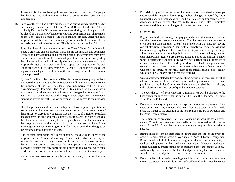driven, that is, the membership drives any revision to the rules. The people that have to live within the rules have a voice in their creation and modification.

B. Each year there will be a rules proposal period during which suggestions for rules changes should be sent to the Zone 8 Rules Coordinator. This is typically Feb 1 – Jun 30. Suggestions received during this time period will be placed on the Zone 8 website for review and comment so that all members of the Zone can be a part of the rules making process. After the rules proposal period there will be a comment period where further comments can be made, which will also be posted. This is typically Jul 1 – Aug 31.

After the close of the comment period, the Zone 8 Rules Committee will create a draft rule change proposal based on the submissions and comments received and any additional input the members of the committee may have. Not all submissions from the membership will necessarily be accepted by the rules committee and additionally the rules committee is empowered to propose changes of their own. This draft proposal will be placed on the web site for further public review from Sep 15-Oct 31. Using this proposal and any comments it generates, the committee will then generate the official rule change proposal.

By Nov 7 the final rules proposal will be distributed to the region presidents and posted on the Zone 8 website. Presidents will vote to approve or reject the proposals at the Fall Presidents' meeting, normally held in late-November/early-December. The Zone 8 Rules Chair will also create a provisional rules document with all proposed changes by December 1 and post it on the Zone 8 website so that Region event organizers and members running in events early the following year will have access to the proposed rules.

Thus the presidents and the membership have three separate opportunities to comment on the rules proposals, and are expected to use one or more of these times to present any concerns that they have. If a Region president does not have the time or technical knowledge to assess the rules proposals, then they are expected to delegate this responsibility to another member of their region, such as their event chairs. All members of Zone 8 are encouraged to contact their Region President and express their thoughts on the proposals throughout this process.

Under normal circumstances it is not appropriate to discuss the merit of the proposals at the Presidents' meeting. To enter into debate or attempt to modify the proposals during the meeting is not fair and is disrespectful to the PCA members who have used the rules process as intended. Good teamwork dictates that any concerns are dealt with in advance, when there is adequate time to find the solutions that meet the needs of the majority.

Rule changes will go into effect on the following January 1, unless otherwise stated.

C. Editorial changes for the purposes of administration, organization, changes necessitated by external forces (e.g., policy changes imposed by PCA National), updating facts and details, and clarifications and/or corrections of errors are not considered changes in the rules. The Rules Committee reserves the right to make changes of this nature at any time.

# **V COMMON**

- A. Regions are highly encouraged to pay particular attention to new members and first time attendees at their events. The first event a member attends often sets the tone for their overall experience with the club. By paying careful attention to providing them with a friendly welcome and assisting them in navigating these rules as well as event procedures, a region can go a long way towards encouraging their future participation and longstanding club membership. Regions are also cautioned to not be too critical, to show some understanding and flexibility when a new attendee makes mistakes or misunderstands the rules and procedures. Harsh judgments and condemnation can send a participant home with a vow to "never return." One must be careful to not treat them more strictly than a club regular. Unfair double standards are noticed and disliked.
- B. Unless otherwise stated in this document, no deviation in these rules will be allowed for any event in the Zone 8 series unless previously approved and published by the Rules Committee. Such publication shall be in hard copy or by electronic mailing (or both) to the region presidents.
- C. To cover the cost of Zone expenses, a nominal fee will be charged to the host region for each event that is part of the Zone 8 Autocross, Concours, Time Trial or Rally series.
- D. Event officials may deny entrance or expel an entrant for any reason. Their decision is final. Any member who feels they are treated unfairly should bring the matter to the attention of the host region's Board of Directors and the Zone Representative.
- E. The region event organizers for Zone events are responsible for all event details. Zone 8 Staff members are available for consultation prior to the event. Zone 8 Staff members attending the event may be able to assist as needed.
- F. Results must be sent no later than 48 hours after the end of the event to: Zone 8 Representative, Zone 8 Web master, Zone 8 Event Chairperson. Results must include full names and region affiliations for all entrants, as well as their phone numbers and email addresses. However, addresses, phone numbers & emails should not be published, they are for staff use only! Additionally, for Concours the list of judges working the event must be submitted and for rally the list of workers must be submitted.
- G. Event results and the series standings shall be sent to entrants who request them and provide an email address or a self-addressed and stamped envelope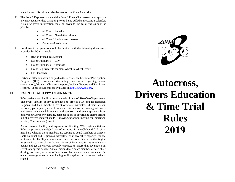at each event. Results can also be seen on the Zone 8 web site.

- H. The Zone 8 Representative and the Zone 8 Event Chairperson must approve any new events or date changes, prior to being added to the Zone 8 calendar. Also new event information must be given to the following as soon as possible:
	- . All Zone 8 Presidents
	- . All Zone 8 Newsletter Editors
	- . All Zone 8 Region Web masters
	- . The Zone 8 Webmaster.
- I. Local event chairpersons should be familiar with the following documents provided by PCA national:
	- Region Procedures Manual
	- . Event Guidelines – Rally
	- . Event Guidelines – Autocross
	- . Event Requirements for Non-Wheel to Wheel Events
	- $\bullet$ DE Standards

Particular attention should be paid to the sections on the Junior Participation Program (JPP), Insurance (including procedures regarding event cancellation), Waivers, Observer's reports, Incident Reports and Post Event Reports. These documents are available on http://www.pca.org.

# **VI EVENT LIABILITY INSURANCE**

PCA carries event liability insurance with limits of \$10,000,000 per event. The event liability policy is intended to protect PCA and its chartered Regions, and their members, event officials, instructors, drivers, crews, sponsors, participants, as well as event site landowners/managers/lessors and event racing vehicle owners and sponsors, and event sponsors from bodily injury, property damage, personal injury or advertising claims arising out of a covered incident at a PCA moving car or non-moving car (meetings, picnics, Concours, etc.) event.

As for personal liability and exposure for directing PCA Region activities, PCA has procured the right kinds of insurance for the Club and ALL of its members, whether those members are serving as board members or officers (both National and Region) as instructors, or in any other capacity. We are all insured for liability arising out of Club functions. Of course, the Region must do its part to obtain the certificate of insurance for its moving car events and get the waivers properly executed to assure that coverage is in effect for a specific event. As to decisions that a board member, officer, chief driving instructor, or other official make that are not related to a specific event, coverage exists without having to fill anything out or get any waivers signed.



# **Autocross, Drivers Education & Time Trial Rules 2019**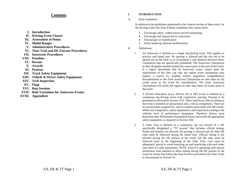# **Contents**

- **I. Introduction**
- **II. Driving Event Classes**
- **III. Assessment of Points**
- **IV. Model Ranges**
- **V. Administrative Procedures**
- **VI. Time Trial and DE Entrant Procedures**
- **VII. Instructor Procedures**
- **VIII. Penalties**
- **IX. Reruns**
- **X. Awards**
- **XI. Protests**
- **XII. Track Safety Equipment**
- **XIII. Vehicle & Driver Safety Equipment**
- **XIV. Tech Inspection**
- **XV. Flags**
- **XVI. Run Sessions**
- **XVII. Rule Variations for Autocross Events**
- **XVIII. Appendices**

#### **I INTRODUCTION**

A.Rule Guidelines:

> In addition to the guidelines mentioned in the General section of these rules, for the driving events the Zone 8 Rules committee also values these:

- . Encourage safety, within known proven technology
- . Encourage and support driver instruction
- $\bullet$ Discourage car modification
- . Fairly handicap allowed modifications
- B. Definitions:
	- 1. An Autocross is defined as a single lap-driving event. This applies to practice and timed runs. No passing is allowed and the cars are to be spread out on the track so as to maintain a safe distance between them**.**  Continuous laps are specifically prohibited. The Autocross Chairperson or their designate should evaluate the course prior to the start of the event. If a region determines that its Autocross venue cannot meet the requirement of the One Lap rule, the region event chairperson may request a waiver by sending written supportive comprehensive documentation to the Zone Autocross Chairperson no later than six (6) weeks prior to the event for consideration. The Zone Autocross Chairperson will notify the region no later than three (3) weeks prior to the event.
	- 2. A Drivers Education (a.k.a. Drivers Ed or DE) Event is defined as a continuous lap-driving event with cooperative passing. Passing to be permitted as allowed by Section XVI. There shall be no official timing as the event is intended as instructional only, with no competition. There are no award points assigned for, and no trophies associated with DE events. While non-competitive, safety equipment is still required according to the vehicles level of performance equipment. Therefore drivers must determine their Performance Equipment Points and install the appropriate safety equipment, as required in Section XIII.
	- 3. A Time Trial is defined as a continuous lap run session of a DE specifically designated a "TT session" that includes official timing. Points and trophies are allowed. No passing is allowed and all other DE rules must be followed during the timed runs. Official timing is not allowed during the DE portion of the event. All DE rules must be followed prior to the beginning of the Time Trial. Cars must be adequately spaced to avoid bunching up and interfering with each other (one third of a mile separation). NOTE: Zone 8 is operating with special permission from national to allow timing during the DE portion of the event for events that follow the Zone 8 novice procedures for Time Trials as documented in Section VI.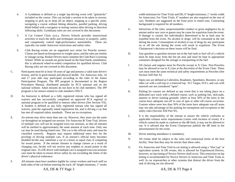- 4. A Gymkhana is defined as a single lap-driving event with "gimmicks" included on the course. This can include a section to be taken in reverse, stopping to pick up or drop off an object, stopping at a specific point, navigating a course without hitting obstacles, parallel parking, driving blind-folded with a navigator or testing various other driving or direction following skills. Gymkhana rules are not covered in this document.
- 5. A Car Control Clinic (a.k.a. Drivers School) provides instructional activities to teach the skills and techniques necessary to properly, safely and competently control high-performance automobiles. These are typically run under Autocross restrictions and safety rules.
- 6. Club Racing events are an organized race series for Porsche owners. Classes are based on horsepower to weight ratios, and the rules are similar to vintage racing. Rookie Drivers must complete the Club Race Licensing School. While no awards are given based on the final finish, nonetheless, this is advanced wheel-to-wheel competition for qualified drivers. Club Racing rules are not covered in this document.
- C. Participants must be at least 18 years of age and possess a valid state driver's license, and be in good mental and physical health. For Autocross only, 16 and 17 year olds may participate according to the rules of the Junior Participation Program. The JPP program is documented in the Region Procedures Manual, distributed annually by PCA national and on the national website. Adult entrants do not have to be club members. The JPP program is for minors related to club members ONLY.
- D. An Instructor is defined as a fully registered entrant who has signed all waivers and has successfully completed an approved PCA regional or national program to be qualified to instruct other drivers (See Section VII). A Student is defined as any fully registered entrant who has signed all waivers, paid the regionally stated registration fee, and is driving a car that has met all required safety standards. There are no exceptions.
- E. An entrant may drive more than one car. However, they must use the same car throughout an assigned run session. For Autocross & Time Trial, drivers of multiple cars will not be assigned extra run sessions, so that all entrants will be entitled to approximately the same amount of track time. Only one car may be used during timed runs. This car is the official entry and must be classified correctly. Regions may impose additional entry fees for the privilege of driving multiple cars. If an entrant's official entry becomes disabled he/she may substitute a car of a lesser or equal class if competing for award points. If the entrant chooses to change classes as a result of changing cars, he/she will not receive any trophies or award points in the original class. If a DE driver with multiple cars is assigned extra run sessions care must be taken to ensure driver safety by not exceeding the limits of the driver's physical endurance.
- F. All entrants must have numbers legible by corner workers and track staff on both sides of the car before entering the track. (8" height minimum, 1" stroke

width minimum for Time Trials and DE; 6" height minimum, 1" stroke width for Autocross). For Time Trials, 4" numbers are also required on the rear of cars. Numbers are suggested on the front prior to timed runs. Contrasting background is required for all numbers.

- G. Infractions of the rules, unsportsmanlike conduct or gross negligence by an entrant and/or any crew or guests may be cause for expulsion from the event. If damage is caused, the individual(s) determined to be at fault may be expelled from the event. No alcohol or drugs will be consumed at the site during the event. Consumption of alcohol or use of drugs by any participant on or off the site during the event will result in expulsion. The Event Chairperson's decision on these issues will be final.
- H. Any gasoline or gasoline mixture not in the fuel tank or fuel cell of a vehicle must be kept away from the hot pit area and must be kept in appropriate containers designed for the storage or transporting of the fuel.
- I. All chassis and engines must be Porsche except in X Class. Non-Porsches may be allowed to run in X class at the discretion of the Event Chair. These cars must meet the same technical and safety requirements as Porsches (See Section XIII Part X)
- J. Open cars are defined as Cabriolets, Roadsters, Speedsters, Boxsters, or any other car with a soft-top or a removed top. 911 Targas, 914's, and cars with sunroofs are not considered "open".
- K. Parking lot courses are defined as any event that is not taking place on a dedicated race track with a defined course, such as parking lots, skid pads, airports or driver training grounds; where at least 50% of the turns in the course have adequate run-off in case of spin or other off-course excursion. Courses where were less than 50% of the turns have adequate run-off areas may not take advantage of the parking lot exemptions and exceptions to the safety rules (Section XIII Part W).
- L. It is the responsibility of the entrant to ensure the vehicle conforms to applicable exhaust noise requirements (varies with location of event). If a vehicle cannot be made to conform to the dB limit, it may not be allowed to run. It is advised that the Event Chairperson publish the dB limit in the advertisement for the event.
- M.Driver meeting attendance is mandatory.
- N. All events shall be subject to the rules and contractual terms of the host facility. Note that they may be stricter than these rules.
- O. For Autocross and Time Trial in-car timing is allowed using a "Hot Lap" or equivalent system. In DE events, this is allowed for Experienced Drivers, however, no lap timing of Novice Drivers shall occur. This restriction on lap timing is recommended for Novice Drivers in Autocross and Time Trials as well. In car stopwatches or other systems that distract the driver from the task of driving are not allowed.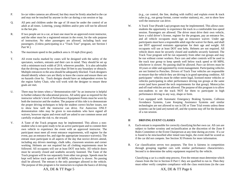- P. In-car video cameras are allowed, but they must be firmly attached to the car and may not be touched by anyone in the car during a run session or lap.
- Q. All pets and children under the age of 18 must be under the control of an adult at all times. Loitering, young children and/or pets will not be allowed in the hot pits.
- R. If two people are in a car, at least one must be an approved event instructor, and the other must be a registered entrant in the event, for the sole purpose of instruction. No other passengers are allowed, including back seat passengers. (Unless participating in a "Track Tour" program, see Section I Part W.)
- S.The maximum speed in the paddock area is 10 mph (first gear).
- T. All event tracks marked by cones will be designed with the safety of the spectators, workers, entrants and their cars in mind. They should be set up with a minimum track width of 20 ft. wherever possible. It is also advisable that the driving course be no closer than 50 feet to any boundary or obstacle. Multiple entrances to the area should be adequately blocked. Track designers should identify where cars are likely to leave the course and ensure there are no hazards close by. Track designs should have an independent review by the region Safety Chair, who will work with the designer to ensure these goals are met.
- U. There may be times when a "demonstration ride" by an instructor is helpful to further enhance the educational process. All safety gear as required for the instructor vehicle's level of Performance Equipment Points must be worn by both the instructor and the student. The purpose of this ride is to demonstrate the proper driving techniques to help the student correct his/her issues, not to show how well the instructor can drive. For Autocross ONLY demonstration rides may be given to non-students who have signed all waivers, however region and event staff are asked to use common sense and carefully evaluate the risk vs. the reward.
- V. A Taste of the Track program may be implemented. This allows a nonstudent who is not quite ready to be an active participant and to commit their own vehicle to experience the event with an approved instructor. The participant must meet all event entrance requirements, will register for the event, pay an entrance fee, and sign the appropriate insurance waiver(s). The entrant must participate in all aspects of the day that novice drivers attend, including any drivers meetings, chalk talks, classroom sessions and corner working. Helmets are not required but all clothing requirements must be followed. All occupants will use at least DOT seat belts. All vehicle doors must be securely closed and seatbelts securely fastened. The Taste of the Track program will be run separately from other run groups. Speeds must be kept well below track speed or 60 MPH, whichever is slower. No passing shall be allowed. The entrant is the only passenger allowed in the vehicle. The purpose of this program is for instructors to explain the basics of driving

(e.g., car control, the line, dealing with traffic) and explain event & track rules (e.g., run group format, corner worker stations), etc., not to show how well the instructor can drive.

- W. A Track Tour (Parade Lap) program may be implemented. This allows nonstudents the opportunity to experience the track in a comfortable low-speed session. Passengers are allowed. The driver must drive their own vehicle, have a valid driver's license, register for the program, pay an entrance fee. and all vehicle occupants must sign an insurance waiver. Under age participants must have a responsible adult sign the waiver for them, and shall use DOT approved restraints appropriate for their age and weight. All occupants will use at least DOT seat belts. Helmets are not required. All vehicle doors must be securely closed and seatbelts securely fastened. The Track Tour program will be run separately from other run groups and may be run without corner workers. Pace cars and other controls will be used in the track tour group to keep speeds well below track speed or 60 MPH, whichever is slower. No passing shall be allowed. Pace car drivers must be 18 years or older and appointed by event management. Participating vehicles are not limited to Porsches. Drivers of Track Tour vehicles are responsible to ensure that the vehicle they are driving is in good operating condition. All participants' vehicles must be either street legal, licensed motor vehicles or vehicles participating in other performance driving run groups at the same event (and have passed the tech requirements for that group). Motorcycles and off road vehicles are not allowed. The purpose of this program is to allow non-students to see the track NOT for them to participate in high performance driving in any way, shape or form.
- X. Cars equipped with Automatic Emergency Braking Systems, Collision Avoidance Systems, Lane Keeping Assistance Systems and similar technologies are not allowed to run in DE or Time Trial events unless these systems can be (and are) turned off, and the systems stay off for the duration of a run session.

#### **II DRIVING EVENT CLASSES**

- A. Each entrant is responsible for correctly classifying his/her own car. All cars are subject to further scrutiny and reclassification at the discretion of the Zone 8 Rules Committee or the Event Chairperson at any time during an event. If a car is found to be misclassified after timed runs begin, the event shall be scored as if the car did not compete. See Section XI Protests for more information.
- B. Car classification serves two purposes. The first is fairness in competition through grouping together cars with similar performance characteristics. Second is to determine the safety equipment required by the vehicle.

Classifying a car is a multi-step process. First the entrant must determine which classes from the list in Section II Part C they are qualified to run in. Then they must either verify complete compliance with the class restrictions (in the case

AX, DE & TT Page 5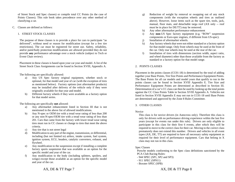of Street Stock and Spec classes) or compile total CC Points (in the case of Points Classes). This rule book takes precedence over any other method of classifying a car.

C. Classes are defined as follows:

#### 1. STREET STOCK CLASSES

The purpose of these classes is to provide a place for cars to participate "as delivered", without need or reason for modification (except for a few tire restrictions). The car must be registered for street use. Safety, reliability, and/or paint/body protection modifications are allowed provided they do not provide **any** performance advantage over a stock vehicle (subject to Tech or Event Chair review).

Placement in these classes is based upon your car year and model. A list of the Street Stock Class Assignments can be found in Section XVIII, Appendix A.

The following are specifically allowed:

- a) Any US Spec factory original equipment, whether stock or optional, for that model and year of car (with the exception of tires as mentioned below). Factory options (not aftermarket products) may be installed after delivery of the vehicle only if they were originally available for that year and model.
- b) Different factory wheels if they were available as a factory option for that model series.

The following are specifically **not** allowed:

- a) Any aftermarket enhancement listed in Section III that is not mentioned in the above list of allowed modifications.
- b) Any N-spec or OEM tire with a tread wear rating of less than 200 or any non-N-spec/OEM tire with a tread wear rating of less than 201. Cars that came from the factory with lower tread wear rating tires must run in CC classes or change to tires that meet the above criteria.
- c) Any tire that is not street legal
- d) Modification to any part of the engine, transmission, or differential, including (but not limited to) airbox, intake system, fuel system, ignition system, ECU, headers, catalytic converters, exhaust, and flywheel.
- e) Any modification to the suspension except if installing a complete factory sports suspension that was available as an option for the specific model and year of the car.
- f) Any modification to the body (including splitters, spoilers, and wings) except those available as an option for the specific model and year of the car.
- g) Reduction of weight by removal or swapping out of any stock components (with the exception wheels and tires as outlined above). However, loose items such as the spare tire, tools, jack, manual, floor mats, and detachable targa roof (AX only -- roof must be in place for DE/TT) may be removed.
- h) Any other aftermarket performance enhancement
- i) Any **non**-US Spec factory equipment (e.g. "ROW" suspension components or Euro-spec engines, if different from US-spec).
- j) Installation of aftermarket wheels.
- k) Any factory wheels that were not either standard or a factory option for that model range. Only front wheels may be used at the front of the car. Only rear wheels may be used at the rear of the car.
- l) Installation of tires with dimensions (section width, aspect ratio, and wheel diameter) other than those available from the factory as standard or a factory option for that model range.

#### 2. POINTS CLASSES

Placement in the points classes (CC01-18) is determined by the total of adding together your Base Points, Tire Size Points and Performance Equipment Points. The Base Points for all car models and model years that qualify to run in the points classes can be found in Section XVIII Appendix E. Tire Size and Performance Equipment Points are determined as described in Section III. Determination of a car's CC class can then be used by looking up the total points against the CC Class Points Table in Section XVIII Appendix A. Vehicles not listed in Section XVIII Appendix E may not run in CC01-18 until Base Points are determined and approved by the Zone 8 Rules Committee.

#### 3. OTHER CLASSES

#### **Novice**

This class is for novice drivers (in Autocross only). Therefore this class is only for drivers with no performance driving experience within the last five years (except for events run under this rule). Drivers are only eligible to participate in this class for their first 6 events, after which they will be required to move to the correct class for their car. Moving to the correct class prematurely does not extend this number. Drivers and vehicles in all event types (AX, DE, TT) are required to have all necessary safety equipment as required for their level of performance equipment. Cars that belong in X class may not run in this class.

Spec Classes

Porsche models conforming to the Spec class definitions sanctioned by the PCA Club Racing Rules:

- 944 SPEC (SP1, SP2 and SP3)

- 911 SPEC (SP911)

<sup>-</sup> Boxster SPEC (SPB)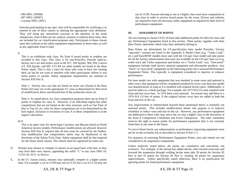- 996 SPEC (SP996) - 997 SPEC (SP997) - Cayman SPEC (SPC)

Entrants participating in any spec class will be responsible for certifying a car entered in one of these classes as meeting the appropriate class definition. They will bring any unresolved concerns to the attention of the event chairperson. Zone 8 does not set, analyze, monitor or endorse these rules, they are included for car classification purposes only. Participants in these classes must also conform to the safety equipment requirements in those rules, as well as any applicable Zone 8 rules.

#### X

This is an exhibition only class. No Zone 8 award points or trophies are awarded in this class. This class is for non-Porsches, Porsche replicas, factory race cars and exotics such as the 917, 550 Spyder, 904, 959, Carrera GT, 918 Spyder, and 991 GT2 RS (or other models not listed in the Base Points chart). This is also a class for those who want to have fun running their car but do not want to interfere with other participants' efforts to win series points or awards. Safety equipment requirements are outlined in Section XIII Part X.

Note 1: Factory race cars that are based on street cars (found in the Base Points list) may run in the appropriate CC class as determined by their level of modification above and beyond that of the production street car.

Note 2: As stated above, for class competition purposes there are no Zone 8 points or trophies for class X. However, if an individual region has other competitions that are not based on the class structure, such as Top Time of Day or Top 10, etc. rules for those competitions are to be determined by the host region. Inclusion or exclusion of class X in these competitions is at the region's discretion.

#### **SUV**

This is an open class for street-legal Cayennes and Macans based on North American factory models. Performance modifications are allowed, however Section XIII Part K requires that all tires must be covered by the fenders. Any modification that compromises safety may be disallowed at the discretion of the Safety/Tech Chair. Safety equipment shall be that required for the Street Stock classes. The vehicle must be registered for street use.

D. Women may choose to compete in classes on an equal basis with men, or they may have their own classes, appending the suffix "L" to any class SS01-10, CC01-18, SUV, or Novice.

E. In the CC classes (only), entrants may optionally compete in a higher points class. For example, a car in CC09 may run in CC10; but a car in CC10 may not run in CC09. Anyone electing to run in a higher class must have competition in that class in order to receive award points for the event. Drivers and vehicles are required to have all necessary safety equipment as required for their level of performance equipment.

#### **III ASSESSMENT OF POINTS**

All cars running in classes CC01-18 must take additional points for their tire sizes and any Performance Equipment listed in this section. These points, together with their Base Points, determine which class they ultimately belong in.

Base Points are determined for US-specification base model Porsches. Factory "specialty" variants not listed in the Appendix E Model Chart (e.g. "Turbo Look", etc.) and Euro/ROW models must start with the US-spec base model and take points for all the factory enhancements that were not available on the US-spec base car (e.g. wider track and Turbo suspension and brakes on a "Turbo Look" car). "Non-stock" equipment includes both factory optional equipment and aftermarket products. Any "stock" or "non-stock" equipment on the following points list is assessed Performance Equipment Points. This typically is equipment considered to improve or enhance performance.

For base model cars with equipment that was standard in some years and optional in other years, that equipment will be considered standard for every year that base model was manufactured, as long as it is installed with original factory parts. Additionally, it must be taken as a whole package. For example, the 1973 914 2.0 came standard with front and rear sway bars. In 1974 these were optional. An entrant may add these to a 1974 914 2.0 free of points, if the original factory sway bars are added to both the front and rear of the car.

Any improvement or enhancement beyond those mentioned below is normally not assessed points. This includes modifications whose sole purpose is to improve reliability or reduce wear and tear on the car. However, any performance equipment not addressed in these rules may move the car into a higher class at the discretion of the Zone 8 Competition Committee and Event Chairperson. The rules committee reserves the right to assess points for performance equipment that is not currently listed here at any time in the future.

To run in Street Stock, any enhancements or performance improving equipment must not be on the exclusion list as described in Section II Part C-1.

For purposes of assessing Performance Equipment Points, tires and wheels are not considered to be suspension components.

Unless explicitly stated below, the points are cumulative and concurrent, not exclusive. For example, if the entrant has added shocks with external reservoirs and lowered the suspension through welding he/she must take 20 points for Section III Part Q and 10 points for Section III Part U, totaling 30 points for suspension improvements. Unless specifically stated otherwise, there is no justification for ignoring points for listed performance equipment.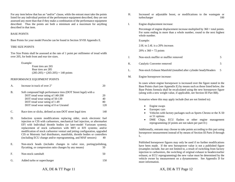For any item below that has an "and/or" clause, while the entrant must take the points listed for any individual portion of the performance equipment described, they are not assessed any more than that if they make a combination of the performance equipment described. Thus the points are both a minimum and a maximum for anything described in that item.

#### BASE POINTS

Base Points for your model Porsche can be found in Section XVIII Appendix E.

#### TIRE SIZE POINTS

Tire Size Points shall be assessed at the rate of 1 point per millimeter of tread width over 205, for both front and rear tire sizes.

Example:

Front tires are 265 Rear tires are 285  $(285-205) + (265-205) = 140$  points

#### PERFORMANCE EQUIPMENT POINTS

| A.        | Increase in track of over 2"                                   | 20  |
|-----------|----------------------------------------------------------------|-----|
| <b>B.</b> | Soft compound high performance tires (DOT Street legal) with a |     |
|           | DOT tread wear rating of 140-200                               | 20  |
|           | DOT tread wear rating of 50-139                                | 40  |
|           | DOT tread wear rating of 1-49                                  | 80  |
|           | DOT tread wear rating of 0 or Unrated                          | 120 |
|           | Race tires or slicks, defined as non-DOT street legal tires    | 140 |

- D. Induction system modifications replacing older, stock electronic fuel injection or CIS with carburetors, mechanical fuel injection, or aftermarket EFI with Individual throttle bodies (or later-model Varioram system); replacement of stock carburetors with MFI or EFI systems; and/or modification of stock carburetor venturi and jetting configuration, upgraded CIS or Motronic fuel distributors, manifolds, throttle bodies or controllers (including ECU change and/or reprogramming, and MAF sensors) 40
- E. Non-stock heads (includes changes in valve size, porting/polishing, flycutting, or compression ratio changes by any means)  $50$
- F.Non-stock camshaft 50
- G.Added turbo or supercharger 150
- H. Increased or adjustable boost, or modifications to the wastegate or turbocharger 100
- I.Engine displacement increase:

Percentage of engine displacement increase multiplied by  $360 =$  total points. For sums ending in more than a whole number, round to the next highest whole number.

Example:

2.0L to 2.4L is a 20% increase.

20% x  $360 = 72$  points

| Non-stock muffler or muffler removed |  |
|--------------------------------------|--|
|                                      |  |

- K.Catalytic Converter removed 5
- L.Non-stock Exhaust Manifold (installed after cylinder head)/Headers 5
- M.Engine horsepower increase:

In cases where engine horsepower is increased over the figure stated in the Base Points chart (see Appendix E) by means such as those listed below, the Base Points formula shall be recalculated using the new horsepower figure (along with a new weight value, if applicable, see Section III Part BB).

Scenarios where this may apply include (but are not limited to):

- $\bullet$ Engine swaps
- . Eurospec cars
- . Vehicles with factory packages such as Sports Chrono or the X-50 or 51 options
- $\bullet$  DME Chips, ECU flashes or other engine management reprogramming (if points are not taken per part D.)

Additionally, entrants may choose to take points according to this part using horsepower measurement instead of by means of Section III Parts D through L.

Published horsepower figures may only be used if no further modifications have been made. If the new horsepower value is not a published figure (examples include, but are not limited to, a result of switching from factory injection to carburetors, the switching of original exhaust to headers/earlier exhaust, or ECU reprogramming) the new value must be determined by the vehicle owner by measurement on a dynamometer. See Appendix D for more information.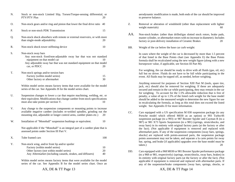| N. | Stock or non-stock Limited Slip, Torsen/Torque-sensing differential, or<br><b>PTV/PTV Plus</b>                                                                                                                              | 20             |
|----|-----------------------------------------------------------------------------------------------------------------------------------------------------------------------------------------------------------------------------|----------------|
| O. | Non-stock gears and/or ring and pinion that lower the final drive ratio                                                                                                                                                     | 40             |
| Ρ. | Stock or non-stock PDK Transmission                                                                                                                                                                                         | 15             |
| Q. | Non-stock shock absorbers with remote or external reservoirs, or with more<br>than single-mode adjustability.                                                                                                               | 20             |
| R. | Non-stock shock tower stiffening device                                                                                                                                                                                     | 10             |
| S. | Non-stock sway bars<br>Any non-stock fixed/non-adjustable sway bar that was not standard<br>equipment on that model car<br>Any adjustable sway bar that was not standard equipment on that model<br>car, or PDCC            | 10<br>20       |
| T. | Non-stock springs and/or torsion bars<br>Factory (within model series)<br>Other factory or aftermarket<br>Within model series means factory items that were available for the model                                         | 15<br>30       |
|    | series of the car. See Appendix B for the model series chart.                                                                                                                                                               |                |
| U. | Suspension changes to lower a car that require machining, welding, etc. or<br>their equivalent. Modifications that change camber from stock specifications<br>must also take points per section V.                          | 10             |
| V. | Any change to the suspension components or mounting points to increase<br>available negative camber (includes re-welded spindles, grinding out the<br>mounting slot, adjustable or longer control arms, camber plates etc.) | 20             |
| W. | Installation of "Monoball" suspension bushings or equivalent.                                                                                                                                                               | 10             |
|    | Not applicable if the "Monoball" is an integral part of a camber plate that is<br>assessed points under Section III Part V.                                                                                                 |                |
| Χ. | Tube framed cars                                                                                                                                                                                                            | 100            |
| Y. | Non-stock wing, and/or front lip and/or spoiler<br>Factory (within model series)<br>Other factory (not within model series)<br>Any Aftermarket (including canards, strakes, and diffusers)                                  | 10<br>20<br>40 |
|    | Within model series means factory items that were available for the model                                                                                                                                                   |                |

Within model series means factory items that were available for the model series of the car. See Appendix B for the model series chart. Once an aerodynamic modification is made, both ends of the car should be improved to preserve balance.

- Z. Removal or alteration of windshield (other than replacement with lighter weight materials) 60
- AA. Non-stock brakes (other than drilled/gas slotted stock rotors, brake pads, master cylinder, or aftermarket rotors with no increase in diameter). Includes factory or post-delivery installation of Ceramic Brakes 20
- **BB.** Weight of the car below the base car curb weight:

In cases where the weight of the car is decreased by more than 1.5 percent of that listed in the Base Points chart (see Appendix E) the Base Points formula shall be recalculated using the new weight figure (along with a new horsepower value, if applicable, see Section III Part M).

For weighing, the car should be ready to drive with all fluids (gas, oil, etc) full but no driver. Fluids do not have to be full while participating in the event. All fluids may be topped off, as needed, before weighing.

Anything removed for purposes of Section XIII Part M (tools, spare tire, jack, etc) should also be removed for weighing. If these are adequately secured and remain in the car while participating, they may remain in the car for weighing. To account for the 1.5% allowable reduction that is free of penalty, a value of up to 1.5% of the listed curb weight for the base model should be added to the measured weight to determine the new figure for use in recalculating the formula, as long as this total does not exceed the listed weight. See Appendix D for more information.

- CC. Cars equipped with a US specification M 030 suspension package (to any Porsche model which offered M030 as an option) or 993 Turbo/4S suspension package (to a 993) or 987 Boxster Spyder and Cayman R (to a 987) or 981 X73 Sports Suspension (to a 981) (springs, struts/shocks, and sway bars) in its entirety with original factory parts (at the factory or after the fact). (Not applicable if equipment is removed and replaced with aftermarket parts. If any of the suspension components [sway bars, springs, shocks] are replaced with points-assessed parts, the suspension package points assessment may not be taken, and separate a la carte points for sway bar, spring, and brake [if applicable] upgrades over the base model must be taken.) 20
- DD. Cars equipped with a 968 M030 or 981 Boxster Spyder performance package (to a 968 or 981, respectively) (springs, struts/shocks, sway bars, brakes) in its entirety with original factory parts (at the factory or after the fact). (Not applicable if equipment is removed and replaced with aftermarket parts. If any of the suspension/brake components [sway bars, springs, shocks, or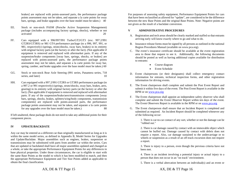brakes] are replaced with points-assessed parts, the performance package points assessment may not be taken, and separate a la carte points for sway bars, springs, and brake upgrades over the base model must be taken.) 40

- EE. Stock or non-stock PASM (Porsche Active Suspension Management) package (includes accompanying factory springs, shocks), whether or not activated 20
- FF. Cars equipped with a 996/997/991 Turbo/GT2/GT3 (exc. 997.2/991 GT2RS/GT3RS) or 981 GT4 performance package (to a 996, 997, 991, or 981, respectively) (springs, struts/shocks, sway bars, brakes) in its entirety with original factory parts (at the factory or after the fact). (Not applicable if equipment is removed and replaced with aftermarket parts. If any of the suspension/brake components [sway bars, springs, shocks, or brakes] are replaced with points-assessed parts, the performance package points assessment may not be taken, and separate a la carte points for sway bar, spring, camber, and brake upgrades over the base model must be taken.) 60
- GG. Stock or non-stock Rear Axle Steering (991 series, Panamera series, 718 series, and later) 10
- HH. Cars equipped with a 997.2/991 GT2RS or GT3RS performance package (to a 997.2 or 991 respectively) (springs, struts/shocks, sway bars, brakes, aero, gearing) in its entirety with original factory parts (at the factory or after the fact). (Not applicable if equipment is removed and replaced with aftermarket parts. If any of the suspension/brake/aero/transmission components [sway bars, springs, shocks, brakes, splitters/wing/body components, transmission components] are replaced with points-assessed parts, the performance package points assessment may not be taken, and separate a la carte points for any upgrades over the base model must be taken.) 80

If left unaltered, these package deals do not need to take any additional points for their component pieces.

#### **IV UPDATE/BACKDATE**

Any car may be entered as a different car than originally manufactured as long as it is within the same model series, as defined in Appendix B, Model Series for Upgrades and Update/Backdate. Major assemblies such as engines, brakes, suspension or transmissions may be substituted with parts from another car within the series. Cars that are updated or backdated shall have all major assemblies updated and changed as a whole, or take the appropriate Performance Equipment Points for any differences in base physical properties. Under those circumstances, the car is eligible to start with the same Base Points as the model to which it has been modified to match, and then the appropriate Performance Equipment and Tire Size Points added as applicable to obtain the final classification.

For purposes of assessing safety equipment, Performance Equipment Points for cars that have been reclassified as allowed for "update", are considered to be the difference between the new Base Points and the original Base Points. Note: Negative points are not given as the result of a backdate conversion.

#### **V ADMINISTRATIVE PROCEDURES**

- A. Registration and tech areas should be clearly marked and staffed so that entrants arriving early will know exactly where to go and what to do.
- B. Insurance release forms must be signed by all persons as outlined in the national Region Procedures Manual (available on www.pca.org).
- C. The event's insurance certificate should be available at the event registration area to those that request to see it. Additionally, the following documents should be posted as well as having additional copies available for distribution to entrants:
	- $\bullet$ Course diagram
	- $\bullet$ Event Schedule
- D. Event chairpersons (or their designates) shall collect emergency contact information for entrants, technical inspection forms, and other registration information for driving events.
- E. The Event chairperson shall complete and submit the Post Event Report and submit it within five days of the event. The Post Event Report is available in the RPM or on www.pca.org
- F. The Event chairperson shall appoint an independent safety observer who shall complete and submit the Event Observer Report within ten days of the event. The Event Observers Report is available in the RPM or on www.pca.org
- G. The Event chairperson shall ensure that an Incident Report is completed and submitted as required. An Incident Report should be completed whenever any of the following occur:

1. There is car-to-car contact of any sort, whether or not the damage can be "rubbed out."

2. There is car damage caused by contact with an immovable object which cannot be buffed out. Damage caused by contact with debris does not require a report. Also, car damage sustained to the undercarriage or to wheels or suspension as a result of an off-track excursion does not require a report.

3. There is injury to a person, even though the previous criteria have not been met.

4. There is an incident involving a potential injury or actual injury to a person that does not occur in an "on track" environment.

5. There is a verbal altercation between an individual(s) and an event or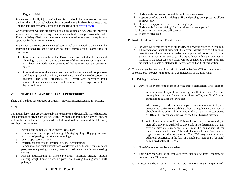#### Region official.

In the event of bodily injury, an Incident Report should be submitted on the next business day, otherwise, Incident Reports are due within five (5) business days. The Incident Report form is available in the RPM or on www.pca.org

- H. Only designated workers are allowed on course during an AX. Any other person who wishes to enter the driving course area must first secure permission from the Event or Safety Chair, and must wear a club-issued safety vest or equivalent approved by the Event or Safety Chair.
- I. In the event the Autocross venue is subject to broken or degrading pavement, the following procedures should be used to insure fairness for all competitors in timed runs:
	- 1. Inform all participants at the Drivers meeting that due to pavement chunking and potholes, during the course of the event the event organizers may have to modify some portions of the track to maintain driver/car safety.
	- **2.** Prior to timed runs, the event organizers shall inspect the track for potholes and further potential chunking, and will determine if any modifications are required. The event organizers shall effect any necessary track modifications in such a manner as to minimize the changes to the track layout and flow.

#### **VI TIME TRIAL AND DE ENTRANT PROCEDURES**

There will be three basic groups of entrants - Novice, Experienced and Instructors.

#### A. Novice

Continuous lap events are considerably more complex and potentially more dangerous than autocross or driving school type events. With this in mind, the "Novice" entrant will not be promoted to "Experienced" and allowed to drive solo until the following learning criteria are met:

- 1. Accepts and demonstrates an eagerness to learn
- 2. Is familiar with event procedures (grid  $\&$  staging, flags, flagging stations, locations of passing zones) and terminology
- 3. Uses proper passing signals
- 4. Practices smooth inputs (steering, braking, accelerating)
- 5. Demonstrates on track etiquette and courtesy to other drivers (lets faster cars pass, uses safe passing distances, doesn't crowd slower cars far from passing zones)
- 6. Has an understanding of basic car control (threshold braking, throttle steering, weight transfer & contact patch, trail braking, braking points, shift points, etc.)
- 7. Understands the proper line and drives it fairly consistently
- 8. Appears comfortable with driving, traffic and passing; anticipates the effects of slower cars
- 9. Drives at an appropriate pace for the run group.
- 10. Understands "ocular driving" (looking ahead and anticipating).
- 11. Recognizes mistakes and self corrects
- 12. Is safe to drive solo

#### B. Novice Previous Experience Requirements

- 1. Driver's Ed events are open to all drivers, no previous experience required.
- 2. TT participation is not allowed until the driver is qualified to solo OR has at least 8 days of total event experience comprised of Autocross, Driving School, or Driver's Ed events (or the equivalent) within the previous 24 months. In the latter case, the driver will be considered a novice until they are qualified to solo as stated in the provisions of Part C of this section.
- C. To encourage the learning of the criteria listed in Section VI Part A, entrants will be considered "Novice" until they have completed all of the following:
	- 1. Driving Experience
	- a. Days of experience (one of the following three qualifications are required):
		- i. A minimum of 4 days of instructor signed-off DE or Time Trial days are required before a Novice can be signed off by the Chief Driving Instructor as qualified to drive solo.
		- ii. Alternatively, if a driver has completed a minimum of 4 days of autocrosses, performance driving school, or equivalent they may be eligible to drive solo with a minimum of 2 days of instructor signed off DE or TT events and approval of the Chief Driving Instructor.
		- iii. A PCA region or zone Chief Driving Instructor has the authority to sign off a driver as qualified to drive solo if he determines that that driver's previous experience is at least the equivalent of the requirements stated above. This might include a license from another organization or other experience. The CDI may determine that additional experience in the form of a single PCA DE or TT (or more) be required before the sign-off.
	- b.Non-PCA events may be acceptable.
	- c. This experience shall be accumulated over a period of at least 6 months, but not more than 24 months.
	- 2. A recommendation by a TT/DE Instructor to move to the "Experienced"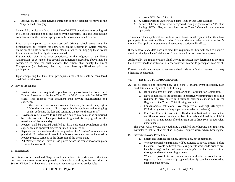category.

3. Approval by the Chief Driving Instructor or their designee to move to the "Experienced" category.

Successful completion of each day of Time Trial/ DE experience must be logged in a Zone 8 student log book and signed by the instructor. This log shall include comments about the student's progress in the above mentioned criteria.

Proof of participation to in autocross and driving school events may be demonstrated by: receipts for entry fees, online registration system records, online event results or event results printed in newsletters. Logging these events in a student log book is highly recommended.

Entrants with significant prior experience, in the judgment of the Event Chairperson (or designee), but beyond the timeframe prescribed above, may be considered to meet the qualifications. The entrant shall satisfy the Event Chairperson (or designee) that they have these qualifications prior to participating.

Upon completing the Time Trial prerequisites the entrant shall be considered qualified to drive solo.

#### D. Novice Procedures

- 1. Novice drivers are required to purchase a logbook from the Zone Chief Driving Instructor or the Zone Time Trial / DE Chair at their first DE or TT event. This logbook will document their driving qualifications and experience.
	- i. If the zone staff are not able to attend the event, the event chair, region CDI or their designee shall be responsible for obtaining and issuing log books; collecting the fees and remitting the fees to the zone staff.
- 2. Novices may be allowed to run solo on a day-to-day basis, if so authorized by their instructor. This permission, if granted, is only good for the remainder of that event day.
- 3. Novices shall be deemed qualified to drive solo upon completion of the experience and approval process outlined in this section.
- 4. Separate practice sessions should be provided for "Novice" entrants when practical. Experienced drivers in low horsepower cars may be included in Novice practice sessions at the discretion of the event chair.
- 5. All "Novice" cars will have an "X" placed across the rear window or in plain view on the rear of the car.

#### E. Experienced:

For entrants to be considered "Experienced" and allowed to participate without an instructor, an entrant must be approved to drive solo according to the conditions in Section VI Part C; or have one of these other recognized driving credentials:

- 1. A current PCA Zone 7 Permit
- 2. A current Porsche Owners Club Time Trial or Cup Race License
- 3. A current license from other recognized racing organizations (PCA Club Racing, SCCA, FIA, etc. -- subject to the Zone 8 Competition committee approval).

To maintain their qualifications to drive solo, drivers must represent that they have participated in at least one Time Trial or Drivers Ed or equivalent event in the last 24 months. The applicant's statement of event participation will suffice.

If the renewal candidate does not meet this requirement, they will need to obtain a checkout ride by a Time Trial and/or Driver Education Instructor for approval.

Additionally, the region or zone Chief Driving Instructor may determine at any time that a driver needs an instructor or a checkout ride in order to participate in an event.

Entrants are also encouraged to request a check ride at unfamiliar venues or as may otherwise be desirable.

#### **VII INSTRUCTOR PROCEDURES**

- A. To be qualified to perform duty as a Zone 8 driving event instructor, each candidate must satisfy all of the following:
	- 1. Be so appointed by their Region or Zone 8 Competition Committee.
	- 2. Have demonstrated the capability to effectively communicate the skills required to drive safely to beginning drivers as measured by the Regional or the Zone 8 Chief Driving Instructor.
	- 3. For Autocross Instructors: Have completed at least eight (8) days of PCA driving events of any type (or equivalent experience).
	- 4. For Time Trial / DE Instructors: Hold a PCA National DE Instructors certificate or have completed at least four (4) additional days of PCA Time Trial or DE events after their sign-off to drive solo (or equivalent experience).

The Event Chair or CDI may authorize a qualified but otherwise non-registered instructor to instruct at an event so long as all required waivers have been signed.

- B. Instructor/Novice Procedures
	- 1. Safety and learning are highly emphasized, not competition.
	- 2. Whenever possible instructors will be assigned to novice entrants before the event. It would be best if these assignments were made prior to pretech (if using) so the instructors can help/advise the novice entrant throughout the entire learning process.
	- 3. Whenever possible instructors and novices should be from the same region so that a mentorship type relationship can be developed to encourage the novice.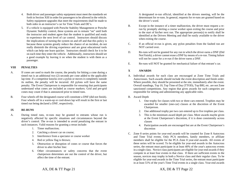- 4. Both driver and passenger safety equipment must meet the standards set forth in Section XIII in order for passengers to be allowed in the vehicle. Safety equipment upgrades that meet the requirements shall be made to both sides in an instructor's car for Time Trials and DE's.
- 5. If a vehicle is equipped with Porsche Stability Management or Porsche Dynamic Stability control, these systems are to remain "on" until both the instructor and student agree that the student is qualified and ready to experience the next level of car control. Instructors should discuss the implications of turning the system on and off and that this policy is because these systems greatly reduce the chance of an incident, do not really diminish the driving experience and are great educational tools which can help one learn quicker. Instructors should check for it to be on each time they enter the vehicle. Additionally, instructors should set a good example by leaving it on when the student is with them as a passenger.

#### **VIII PENALTIES**

- A. If cones are used to mark the course, the penalty for hitting a cone during a timed run is an additional two (2) seconds per cone added to the applicable lap time. If a competitor knocks over a pylon or moves it completely outside its outline, the penalty will be incurred. All pylons will have the same penalty. The Event Chairperson is responsible for ensuring that participants understand what cones are included as course markers. Grid and pre-grid cones may count if that is announced prior to timed runs.
- B. Four wheels off the designated course will constitute a DNF (did not finish). Four wheels off in a warm-up or cool-down lap will result in the first or last timed run being declared a DNF, respectively.

#### **IX RE-RUNS**

- A. During timed runs, re-runs may be granted to entrants whose run is negatively affected by specific situations and circumstances beyond the driver's control. The re-run is intended to avoid penalizing the entrant in such instances. Valid reasons for granting a rerun include:
	- 1. Timer malfunction;
	- 2. Catching a slower car on course;
	- 3. Interference from a spectator or course worker
	- 4.Red or yellow flag is thrown;
	- 5. Obstruction or disruption of cones or course that forces the driver to alter his/her line:
	- 6. Other circumstances or safety concerns that the event chairperson determines are out the control of the driver, but affect the time of the entrant.

A designated re-run official, identified at the drivers meeting, will be the determinant for re-runs. In general, requests for re-runs are granted based on the driver's word.

- B. Except in the instance of a timer malfunction, the driver must request a rerun by promptly alerting a course worker upon exiting the course and prior to the start of his/her next run. The appropriate person(s) to notify shall be identified at the Drivers Meeting and shall be easily available to the driver when exiting the course.
- C. If an official re-run is given, any pylon penalties from the faulted run are NOT carried over.
- D. Re-runs will not be granted for any run in which the driver earns a DNF (Did Not Finish); a driver cannot erase a DNF by means of a re-run. Timing failure will not be cause for a re-run if the driver earns a DNF.
- E.Re-runs will NOT be granted for mechanical failure of that entrant's car.

#### **X AWARDS**

- A. Individual awards for each class are encouraged at Zone Time Trials and Autocrosses. Such awards should include the event description and finish order. Where possible, they should be presented at the site, immediately after the event. Overall standings, Top 10, Top Time of Day (TTOD), Top BRI, etc. are not Zone sanctioned competitions. Any region that gives awards for such categories are responsible for setting and administering any applicable rules.
- B. Award Depth
	- 1. One trophy for classes with two or three cars entered. Trophies may be awarded for smaller (one-car) classes at the discretion of the Event Chairperson.
	- 2. One additional trophy per two cars entered up to five trophies per class.
	- 3. This is the minimum award depth per class. More awards maybe given at the Event Chairperson's discretion, if it is done consistently across classes
	- 4. Participation awards are encouraged but are at the Event Chairperson's discretion
- C. Zone 8 series points for year-end awards will be counted for Zone 8 Autocross and Time Trial events. Only PCA members, family members, or affiliate members shall be eligible for the PCA Zone 8 year-end awards. All events of these series will be scored. To be eligible for year-end awards in the Autocross series, the entrant must participate in at least 40% of the year's autocross events in a single class. Novice class participants are eligible for year-end awards if they compete in at least four events in that class. If there are sufficient events in the season, novices may trophy in both a Novice class and their regular class. To be eligible for year-end awards in the Time Trial series, the entrant must participate in at least 51% of the year's Time Trial events in a single class. Year-end awards

AX, DE & TT Page 21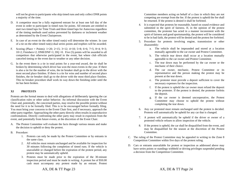will not be given to participants who skip timed runs and only collect DNR points a majority of the time.

- D. A competitor must be a fully registered entrant for at least one full day of the event in order to participate in timed runs for points. All entrants are entitled to start two timed laps for Time Trials and three timed laps for Autocross regardless of the timing methods used unless prevented by darkness or inclement weather as determined by the Event Chairperson.
- E. In case of an event tie the other timed run(s) will determine the winner. In case of a tie on the other timed run(s) dual series points and trophies will be awarded.
- F. Scoring (Place = Points): 1=20; 2=15; 3=12; 4=10; 5=8; 6=6; 7=5; 8=4; 9=3; 10=2; Finishers=2; DNR/DNF=1; DQ =0. Five (5) points will be awarded to all competitors that otherwise participated in the event, but where club officials canceled timing or the event due to weather or any other decision.
- G. In the event there is a tie in total points for a year-end award, the tie shall be broken by determining which driver has won the most events in the year. If there is also a tie for the number of wins, the tie breaker shall go to the driver with the most second place finishes. If there is a tie for wins and number of second place finishes, the tie breaker shall go to the driver with the most third place finishes. This tie breaker procedure shall work its way down the finishing order until the tie has been broken.

#### **XI PROTESTS**

Protests are the formal means to deal with allegations of deliberately ignoring the car classification rules or other unfair behavior. An informal discussion with the Event Chair and, potentially, the concerned parties, may resolve the possible protest without the need for it to be formally filed. This is to be encouraged before formally filing. You must bring your concerns to the Event Chair first, and if necessary, approach the other party together. Approaching the other party directly often results in unproductive confrontations. Directly confronting the other party may result in expulsion from the event, and potentially from future events, at the discretion of the Event Chair.

- A. The Protest Committee will evaluate the facts through various means and make the decision to uphold or deny the protest.
- B. Procedure:
	- 1. Protests can only be made by the Protest Committee or by entrants in the same class.
	- 2. All vehicles must remain unchanged and be available for inspection for 30 minutes following the completion of timed runs. If the vehicle is unavailable or changed before the expiration of the protest period, any protest may be automatically upheld.
	- 3. Protests must be made prior to the expiration of the 30-minute inspection period and must be made in writing. A protest fee of \$50.00 cash must accompany any protest made by an entrant. Protest

Committee members acting on behalf of a class in which they are not competing are exempt from the fee. If the protest is upheld the fee shall be returned. If the protest is denied it shall be forfeited.

- 4. It is expected that protests be reasonable, based on sound evidence and submitted in the spirit of fairness. If, in the opinion of the protest committee, the protester has acted in a manner inconsistent with the spirit of fairness and good sportsmanship, the protest will be considered to be in bad faith, the protest will be denied and the protest fee forfeited.
- 5. Procedure for protests involving engine, transmission or other disassembly:
	- a. The vehicle shall be impounded and stored at a location mutually agreeable to the car owner and Protest Committee.
	- b. The vehicle tear down shall occur at a location mutually agreeable to the car owner and Protest Committee.
	- c. The tear down may be performed by the car owner or the mechanic of their choice.
	- d. The car owner, mechanic, Protest Committee or its representative and the person making the protest may be present at the tear down.
	- e. The protester must provide a deposit sufficient to cover the necessary expenses for the inspection.
	- f. If the protest is upheld the car owner must refund the deposit to the protester. If the protest is denied, the protester forfeits the deposit.
	- g. If the car owner is deemed uncooperative, the Protest Committee may choose to uphold the protest without completing the tear down.
- 6. Any car protested must remain unchanged until the protest is decided. Protests will automatically be upheld for any car that is changed.
- 7. A protest will automatically be upheld if the driver or owner of a protested vehicle refuses to allow inspection of the vehicle.
- 8. If the protest is upheld, the car shall be disqualified from the event, and may be disqualified for the season at the discretion of the Protest Committee.
- C. The ruling of the Protest Committee may be appealed in writing to the Zone 8 Competition Committee within five days of the protest ruling.
- D. Cars or entrants unavailable for protest or inspection as addressed above may have series points or standings withheld or driving privileges suspended pending a decision from the Competition Committee.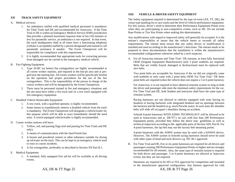#### **XII TRACK SAFETY EQUIPMENT**

#### A. Medical services:

- 1. An ambulance staffed with qualified medical personnel is mandatory for Time Trials and DE and recommended for Autocross. If the Time Trial or DE is within an Emergency Medical Service (EMS) jurisdiction that provides a planned maximum response time of ten (10) minutes or less for paramedic service, an ambulance is not required. In that event, the track headquarters shall at all times have a functioning telephone (cellular is acceptable) staffed by a person designated and trained to call paramedic assistance if needed. The Event Chairperson will be responsible for compliance with this requirement.
- 2. It is highly recommended that appropriate tools for extracting persons from damaged cars be carried in the emergency medical vehicle.
- B. Fire Fighting Equipment:
	- 1. Type 20-BC (or better) fire extinguishers are highly recommended at all corner worker stations, and required in the hot-pit area and at pregrid near the starting line. All corner workers will be specifically briefed on the operation and proper procedures for the use of the fire extinguishers. This is the responsibility of the person in charge of the course workers and will be designated by the Event Chairperson.
	- 2. There must be personnel trained in fire and emergency situations and the site must have either a fire truck and /or a tow truck equipped with fire emergency equipment.
- C. Disabled Vehicle Removable Equipment:
	- 1. A tow truck, with a qualified operator, is highly recommended.
	- 2. Some means to expeditiously remove a disabled vehicle from the track is mandatory. The Event Chairperson will designate a vehicle/trailer for this purpose which will be able to react immediately should the need arise. A winch-equipped vehicle/trailer is highly recommended.
- D. Corner worker stations will have:
	- 1. Yellow, red, and passing flags (red and passing for Time Trials and DE only).
	- 2. A means of communication with the Start/Finish line.
	- 3. A broom and powdered cement or other substance suitable for drying up oil/water on the track. This can be kept in an emergency vehicle used to react to course incidents.
	- 4. A fire extinguisher, preferably as described in Section XII Part B.1.
- E. Medical Equipment;
	- 1. A standard, fully equipped first aid kit will be available at all driving events.

#### **XIII VEHICLE & DRIVER SAFETY EQUIPMENT**

The Safety equipment required is determined by the type of event (AX, TT, DE), the venue type (parking lot or race track) and the level of vehicle performance equipment. For this reason, driver's need to determine their Performance Equipment Points even when they are participating in non-competitive events, such as DE. Do not include Base Points or Tire Size Points when making this determination.

Any modifications with regard to improved safety will generally be accepted. It is the entrant's responsibility to insure that the vehicle meets or exceeds all safety requirements. The entrant must ensure that any safety device or modification is installed and used according to the manufacturer's directions. The entrant needs to be prepared to show documentation that the installation is within the manufacturer's recommended configurations whenever asked by a tech inspector.

A. For all Autocross entrants and Time Trial / DE entrants, at least fully functional OEM (Original Equipment Manufacturer) style 3 point seatbelts are required. Belts that are visibly frayed, damaged or dysfunctional must be replaced with new belts.

Two point belts are acceptable for Autocross if the car did not originally come with seatbelts or only came with 2 point belts OEM. For Time Trial / DE three point belts are required (when the vehicle does not require a 5 or 6 point harness).

For Autocross, it is not required to have identical restraint system so long as both the driver and passenger side meet the minimum safety requirements for the car. For Time Trial and DE, both Student and instructor shall have the same type of restraint system.

Racing harnesses are not allowed in vehicles equipped with seats having no headrest or having backrests with integrated headrest and no openings between the backrest and the headrest (e.g. stock Porsche seats). In such seats the shoulder belts will slide off occupant's shoulders during an accident.

Schroth 4-point harnesses WITH ASM® TECHNOLOGY will be allowed to be used at Autocrosses and at DE/TT's on cars with less than 200 Performance Equipment points, provided they follow the above seat guidelines as well as technical inspection according to the applicable parts of Section XIII, Part B. For 4-point harnesses, the lap belt may use the factory belt mounting points.

4-point harnesses with the ASM® system may be used with a HANS® device. However, The ASM® system in Schroth racing harnesses should never be used with other types of head and neck devices e.g. SFI 38.1 approved.

B. For Time Trial and DE, five or six-point harnesses are required for all drivers and passengers running 200 Performance Equipment Points or higher and are strongly recommended for all entrants. Also, the same type of restraint system is required for both driver and passenger. 5 or 6-point harnesses are allowed at Autocross events, but they are not required.

AX, DE & TT Page 26 Harnesses are required to be SFI or FIA approved for competition and mounted in the manufacturer approved configuration. Any harness approved for club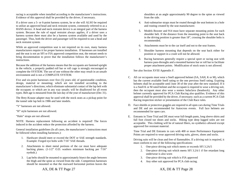racing is acceptable when installed according to the manufacturer's instructions. Evidence of this approval shall be provided by the driver, if necessary.

If a driver uses a 5- or 6-point harness system, he or she will ALSO be required to utilize an approved head and neck restraint system, commonly referred to as a HANS device. A head and neck restraint device is an integral part of the harness system. Because the rule of equal restraint always applies, if a driver uses a harness system there must also be a harness system available and used by the passenger. Thus, both the driver and passenger will be required to use a head and neck restraint system.

While an approved competition seat is not required on its own, many harness manufacturers require it for proper harness installation. If harnesses are installed and the seat is not an SFI or FIA approved competition seat, the entrant needs to bring documentation to prove that the installation follows the manufacturer's instructions.

Because the addition of the harness means that the occupants are fastened upright in the vehicle, a properly padded roll bar or roll cage is strongly encouraged to complete the SYSTEM. The use of one without the other may result in an unsafe environment and is not a COMPLETE SYSTEM.

Five and six-point harnesses over five (5) years old; of questionable condition, design, material or mounting; which are not installed according to the manufacturer's directions; which eliminate substantial contact of the lap belt with the occupant; or which are in any way unsafe; will be disallowed for all event types. Belt age is measured from the last day of the year of manufacture (Dec 31).

The Brey-Krause adapter may be used with the stock seats as a pickup point for the tunnel side lap belt in 1986 and later models.

"Y" harnesses are not allowed.

"H" style harnesses are not allowed.

"Halo" straps are not allowed.

NOTE: Harness replacement following an accident is required! The forces induced in the accident reduce the protection afforded by the harness.

General installation guidelines (In all cases, the manufacturer's instructions must be followed when installing harnesses.):

- 1. Hardware should meet or exceed the DOT or SAE strength standards. Example: Forged eye bolts with 7/16" SAE threads.
- 2. Attachments to sheet metal portions of the car must have adequate backing plates. (1-1/2" O.D. washers minimum backing per 7/16" eyebolt.)
- 3. Lap belts should be mounted to approximately bisect the angle between the thigh and the spine as viewed from the side. Competition harnesses should be mounted so that the rearward horizontal portion leaves the

shoulders at an angle approximately 90 degree to the spine as viewed from the side.

- 4. Anti-submarine straps must be routed through the seat bottom in a hole and routing created by the seat manufacturer.
- 5. Models Boxster and 914 must have separate mounting points for each shoulder belt. If the distance from the mounting point to the seat back in the driving position is greater than 18", crossing the shoulder belts is recommended.
- 6. Attachments must be to the car itself and not to the seat frames.
- 7. Shoulder harness mounting that depends on the seat back either for position or support in a crash will not be allowed.
- 8. Racing harnesses generally require a special sport or racing seat with harness pass-throughs and a mounted harness bar or roll bar to facilitate proper attachment points. Modification of stock seats is not allowed.

See also Section XVIII Appendix F.

- C. All car occupants must wear a Snell approved helmet (SA, SAH, K or M), which has the current available Snell rating or the one previous Snell rating. Expiring helmets shall be acceptable until June 30 of the year after the new standard. If it is a Snell K or M rated helmet and the occupant is required to wear a driving suit, then the occupant must also wear a nomex balaclava (headsock). Any other helmet currently approved for PCA Club Racing also qualifies. Evidence of this approval shall be provided by the driver, if necessary; such as a current PCA Club Racing inspection sticker or presentation of the Club Race rules.
- D. Face shields or protective goggles are required in all open cars during Time Trials and DE and are recommended for Autocross events. Full face helmets are recommended for open cars.
- E. Entrants in Time Trial and DE must wear full-length pants, long sleeve shirts and full foot closed toe shoes and socks. Hiking type deep lugged soles are not acceptable. This clothing will be of natural fibers, no synthetics allowed except approved fire resistant material.

Time Trial and DE Entrants in cars with 400 or more Performance Equipment Points are required to wear approved driving suits, gloves, shoes and socks.

Driving suits will be clean and free of flammables. If a driving suit is required, it must conform to one of the following specifications:

- 1. One-piece driving suit which meets or exceeds SFI 3.2A/5
- 2. One-piece driving suit which meets SFI 3.2A/1 if fire retardant long underwear is also worn
- 3. One-piece driving suit which is FIA approved
- 4. Any other suit approved for PCA club racing.

AX, DE & TT Page 27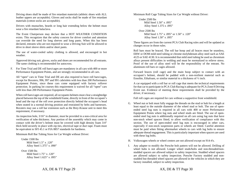Driving shoes shall be made of fire retardant materials (athletic shoes with ALL leather uppers are acceptable). Gloves and socks shall be made of fire retardant materials (cotton socks are acceptable).

Drivers with mustaches, beards or long hair extending below the helmet must wear a fire retardant balaclava.

The Event Chairperson may declare that a HOT WEATHER CONDITION exists. This recognizes that the safety concern for driver comfort and attention can override the need for long sleeves and long pants. When this has been declared, entrants who are not required to wear a Driving Suit will be allowed to drive in short sleeve shirts and/or short pants.

The use of water-cooled safety clothing is allowed, and encouraged in hot weather.

Approved driving suit, gloves, socks and shoes are recommended for all entrants. The same clothing is recommended for autocross.

F. For Time Trial and DE roll bars/cages are mandatory in all cars with 400 or more Performance Equipment Points, and are strongly recommended in all cars.

All "open" cars in Time Trial and DE are also required to have roll bars/cages, except for Boxsters, 996, 997 and 991 cabriolets with less than 200 Performance Equipment Points, since these cars come equipped with factory rollover protection. In parking lot courses this requirement is waived for all "open" cars with less than 200 Performance Equipment Points.

When roll bars/cages are required, all occupants helmets must clear a straightedge placed between the top of the windshield frame, directly in front of the occupant's head and the top of the roll over protection directly behind the occupant's head when seated in a normal driving position and restrained by belts and harnesses. Boxsters may use a roll bar extension such as the Brey-Krause unit to meet this requirement, if necessary.

An inspection hole, 3/16" in diameter, must be provided in a non-critical area for verification of tube thickness. Any portion of the assembly which may come in contact with the driver's helmet must be covered with high density foam 3/4" thick held securely in place with zip ties, electrical tape or duct tape. Foam must be equivalent to SFI 45.1 or FIA 8857 standards for hardness.

Minimum Roll Bar Tubing Sizes for Car Weight without Driver:

Under 1500 lbs Mild Steel 1.5" x .120" Alloy Steel 1.375" x .090"

Over 1500 lbs Mild Steel 1.75" x .120" Alloy Steel 1.625" x .095" Minimum Roll Cage Tubing Sizes for Car Weight without Driver:

Under 2500 lbs Mild Steel 1.50" x .095" Alloy Steel 1.375 x .095"

Over 2500 lbs Mild Steel 1.75" x .095" or 1.50" x .120" Alloy Steel 1.50" x .095"

These figures are from the current PCA Club Racing rules and will be updated as changes occur in those rules.

Roll bars must be braced. The roll bar hoop and all braces must be seamless, ERW or DOM mild steel tubing or chrome molybdenum alloy steel such as SAE 4125 or SAE 4130. It is recommended that mild steel tubing be used as chromium alloys present difficulties in welding and must be normalized to relieve stress. Proof of the use of alloy steel will be the responsibility of the entrant. No aluminum roll bars or cages allowed.

Forward braces (roll cage) and the main hoop subject to contact with an occupan<sup>t</sup>'s helmet, should be padded with a non-resilient material such as Ensolite, Ethafoam, or similar material to a thickness of ½ inch.

A car equipped with a roll bar or roll cage that meets the technical requirements for that car to participate in PCA Club Racing is adequate for PCA Zone 8 Driving Event use. Evidence of meeting these requirements shall be provided by the driver, if necessary.

Full roll cages are required for cars without a supportive front windshield.

- G. Wheel nut or bolt must fully engage the threads on the stud or hub for a length at least equal to the outside diameter of the wheel stud or bolt. The use of openended steel lug nuts is required in all cars with 400 or more Performance Equipment Points where lug nuts and wheel studs are fitted. The use of openended steel lug nuts is additionally required on all cars using lug nuts that have non-stock wheel spacers fitted, to allow verification of compliance with this section. The use of open-ended steel lug nuts is encouraged in other cars, especially if non-stock suspension parts or wheels are fitted. Careful attention must be paid when fitting aftermarket wheels to cars with lug bolts to ensure adequate thread engagement. This is particularly important when spacers are used with these lug bolts.
- H. Volkswagen wheels or wheel centers are not allowed except on 914-4's.
- I. Any adapter to modify the Porsche bolt pattern will not be allowed. Drilling of wheel hubs is not allowed. Longer wheel studs/bolts and non-threaded/nonstudded spacers are allowed subject to safety inspection. Studded wheel spacers are allowed subject to safety inspection. Porsche Factory studded and nonstudded but threaded wheel spacers are allowed in the vehicles in which they are factory installed, subject to safety inspection.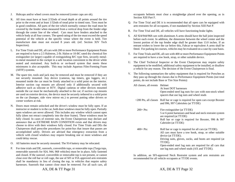- J. Hubcaps and/or wheel covers must be removed (center caps are ok).
- K. All tires must have at least 2/32nds of tread depth at all points around the tire prior to the event and at least 1/32nds of tread prior to timed runs. Tires must be in good condition. All parts of the tire which normally contact the road must be covered by the fender when measured from a vertical drop from the fender edge through the center line of the wheel. Cars must have fenders attached to the vehicle body at all four corners. The speed rating of the tire must exceed the speed potential of the vehicle at the specific venue where the event is held. Tire manufacture date must not exceed 8 years old. (ref. Section XIV Tech Inspection).
- L. For Time Trials and DE, all cars with 200 or more Performance Equipment Points are required to have a 2.5 Halotron, 2-lb. Halon or 10-BC rated dry chemical fire extinguisher (or larger) capable of extinguishing B/C type fires, securely metalto-metal mounted in the cockpit in a safe location convenient to the driver while seated and restrained. Any built-in or on-board system that meets these minimums is also acceptable. This may include Aqueous Film-Forming Foam (AFFF) systems.
- M. The spare tire, tools and jack may be removed and must be removed if they are not securely mounted. Any device (cameras, lap timers, gps loggers, etc.) mounted inside the car must be firmly attached to a solid point on the interior. Interior suction cup mounts are allowed only if additionally secured with adhesive such as silicone or RTV. Digital cameras or other devices mounted outside the car must be mechanically attached to the car; if suction cup mounts are used on exterior devices, the device must be securely tethered to a solid point on the car (bumper, side view mirror etc.) to prevent putting other drivers or corner workers at risk.
- N. Doors must remain unlocked and the driver's window must be fully open. If an instructor or student is in the car, both door windows must be fully open. Partially open windows are never allowed. This includes any window which cannot open fully (does not retract completely into the door frame). These windows must be fully closed. In cases of extreme rain, the Event Chairperson may declare and announce that an EXTREME RAIN CONDITION exists and that drivers may choose to drive with their windows fully closed. For Time Trials and DEs the Chairperson shall prescribe procedures for point-bys that insure that passes are accomplished safely. Drivers are advised that emergency extraction from a vehicle with closed windows may require breaking one or more windows and could delay rescue.
- O. All batteries must be securely mounted. The 914 battery may be relocated.
- P. For time trials and DE, sunroofs, convertible tops, or removable tops (Targa tops, removable sunroofs for 924, 944, 968 vehicles) must be in place, fully fastened and closed. If the sunroof, convertible or removable top is not present, or cannot close over the roll bar or roll cage, the use of SFI or FIA approved arm restraints shall be mandatory in lieu of closing the top, in vehicles that require safety harnesses. Sunroofs that cannot close must be removed. For all such cars, all

occupants helmets must clear a straightedge placed over the opening, as in Section XIII Part F.

- Q. For Time Trial and DE it is recommended that all open cars be equipped with arm restraints for all occupants, if not mandated by Section XIII Part P.
- R. For Time Trial and DE, all vehicles will have functioning brake lights.
- S. All 924/944/968 cars with aluminum A arms should have the ball joint inspected before each event. In addition, the dimension between the wheel center and the lowest portion of the top fender edge shall be greater than 13.0 inches. If an entrant wishes to lower the car below this, Fabcar or equivalent A arms shall be fitted. For parking lot courses, vehicles may be evaluated on a case-by-case basis.
- T. For Time Trials and DE, all cars with 400 or more Performance Equipment Points are required to have a tow hook, strap, or other suitable device.
- U. The Chief Technical Inspector or the Event Chairperson may require safety equipment to be modified, additional safety equipment to be installed, or disallow a vehicle for any reason. The decision of the Event Chairperson is final.
- V. The following summarizes the safety equipment that is required for Porsches as they pass up through the classes due to Performance Equipment Points (not total points, do not include Base or Tire Size Points):

| All classes, all events Helmet | At least DOT harnesses<br>Open-ended steel lug nuts for cars with non-stock wheel<br>spacers that use lug nuts and wheel studs                                                                                                                                                                                            |
|--------------------------------|---------------------------------------------------------------------------------------------------------------------------------------------------------------------------------------------------------------------------------------------------------------------------------------------------------------------------|
|                                | <200 Pts, all classes Roll bar or cage is required for open cars except Boxster<br>and 996, 997 Cabriolets (at TT/DE)                                                                                                                                                                                                     |
| $200 + P$ ts:                  | Fire extinguisher (at TT/DE)<br>5 or 6 point harnesses and head and neck restraint system<br>are required (at TT/DE)<br>Roll bar or cage is required for Boxster, 996 & 997<br>Cabriolet (at TT/DE)                                                                                                                       |
| $400 + P$ ts:                  | Roll bar or cage is required for all cars (at TT/DE).<br>All cars must have a tow hook, strap, or other suitable<br>device (at TT/DE).<br>Driving suits, gloves, socks, and boots are required (at<br>TT/DE).<br>Open-ended steel lug nuts are required for all cars that<br>use lug nuts and wheel studs (AX and TT/DE). |

In addition, an SFI-approved Neck Restraint system and arm restraints are recommended for all vehicle occupants at TT/DE events.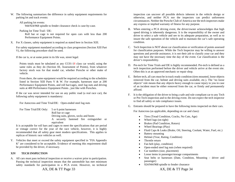- W. The following summarizes the difference in safety equipment requirements for parking lot and track events:
	- All parking lot events: 944/924/968 spindle to fender clearance check is case-by-case.
	- Parking lot Time Trail / DE: Roll bar or cage is not required for open cars with less than 200 Performance Equipment Points.
- X. For X classes, safety equipment is required as stated here in Section XIII.

For safety equipment mandated according to class progression (Section XIII Part V), the following procedure shall be used.

If the car is, or at some point in its life was, street legal:

Points totals must be tabulated as any CC01-18 class car would, using the same rules as they do (Section III, Assessment of Points), from whatever factory stock was for that model car, whether Porsche or other make of vehicle.

From there, the same equipment would be required according to the schedules listed in Section XIII Parts V & W. For example, harnesses start at 200 Performance Equipment Points, and roll bar/cages, steel lug nuts and driving suits at 400 Performance Equipment Points , just like with Porsches.

If the car was never intended for use on any public road (a real race car), the following safety equipment is mandatory:

For Autocross and Time Trial/DE: Open-ended steel lug nuts

For Time Trial/DE Only: 5 or 6 point harnesses Roll bar or cage Driving suits, gloves, socks and boots A securely fastened fire extinguisher or equivalent

It is acceptable for roll bars and cages to meet the specifications that are period or vintage correct for the year of the race vehicle, however, it is highly recommended that all safety gear meet modern specifications. This applies to replicas of historic race vehicles as well.

Y. Vehicles that meet or exceed the safety equipment specified in "FIA Appendix K" are considered to be acceptable. Evidence of meeting this requirement shall be provided by the driver, if necessary.

#### **XIV TECH INSPECTION**

A. All cars must pass technical inspection or receive a waiver prior to participation. Passing the technical inspection means that the automobile has met minimum safety standards for participation in a PCA event. However, no technical

# AX, DE & TT Page 33

inspection can uncover all possible defects inherent in the vehicle design or otherwise, and neither PCA nor the inspectors can predict unforeseen circumstances. Neither the Porsche Club of America nor the tech inspectors make any express or implied warranty of fitness for any purpose.

- B.When entering a PCA driving event, the driver/owner acknowledges that high speed driving is inherently dangerous. It is the responsibility of the owner and driver to select a safe vehicle and see to its adequate preparation, as well as to insure the safe operation of the vehicle and to maintain the car's safe operating condition.
- C. Tech Inspection is NOT about car classification or verification of points assessed for classification purposes. While the Tech Inspector may be willing to answer questions and provide assistance, it is not their job to classify your car and they may not have the necessary time the day of the event. Car classification is the driver's responsibility.
- D. Pre-tech for Time Trials and DE is highly recommended. Pre-tech is defined as a tech inspection performed before the driver and vehicle arrive at the event site. Often this is at an approved mechanic or repair shop.
- E. Before tech, all cars must be in track ready condition (tires mounted, loose objects removed from the car, helmet and driving suits available, etc.). The "no loose objects" rule means that any objects heavy enough to cause injury to you in case of an incident must be either removed from the car, or firmly and permanently affixed.
- F. It is the obligation of the driver to bring a safe and rule compliant car to any Tech or Pre-Tech inspection and to the driving event. Do not expect the tech inspector to find all safety or rule compliance issues.
- G. Entrants should be prepared to have the following items inspected on their cars.

For Autocross (as applicable, depending on car and class):

- . Tires (Tread Condition, Cracks, No Cuts, Age)
- $\bullet$ Wheel lugs (on tight)
- . Brakes (Pad Condition, Rotors)
- . Wheel Bearings (Play)
- . Fluid Caps & Leaks (Brake, Oil, Steering, Coolant, Water, Fuel, etc.)
- . Battery mounting
- . Helmet (Year, Rating, Condition)
- . Throttle return
- $\bullet$ Fan belt (play, condition)
- . Open-ended steel lug nuts (when required)
- . Car numbers (size, placement)
- . Loose items in passenger/storage compartments
- . Seat belts or harnesses (Date, Condition, Mounting – driver and passenger)
- 924/944/968 spindle to fender clearance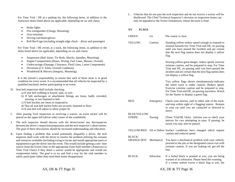For Time Trial / DE at a parking lot, the following items, in addition to the Autocross items listed above (as applicable, depending on car and class):

- . Brake lights
- . Fire extinguisher (Charge, Mounting)
- . Arm restraints
- . Driving suit/shoes/gloves
- . Roll Bar/Cage (including straight edge check – driver and passenger)

For Time Trial / DE events at a track, the following items, in addition to the items listed above (as applicable, depending on car and class):

- . Suspension (Ball Joints, Tie Rods, Shocks, Spindles, Mounting)
- . Engine Compartment (Hoses, Wiring, Fuel Lines, Mounts, Overall)
- . Undercarriage (Damage, Clearance, Fluid Lines, Loose Components)
- . Drivetrain (CV Joints, Overall Condition)
- . Windshield & Mirrors (Integrity, Mounting)

It is the entrant's responsibility to ensure that each of these areas is in good condition for every event. It is recommended that all vehicles be inspected by a qualified mechanic before participating in an event.

#### H. Seat belt inspection shall include checking:

- a) If seat belt webbing is frayed, split, or torn.
- b) If belt anchorages or attachment fittings are loose, badly corroded, missing, or not fastened to belt.
- c) If belt buckles are loose or inoperative.
- d) That all seat belt anchor bolts are securely fastened to floor.
- e) If seat belt will adjust to allow proper fit.
- I. After passing Tech inspection or receiving a waiver, an event sticker will be placed on the upper left (driver side) corner of the windshield.
- J. The tech inspector should discuss with the driver/owner any discrepancies between the driver's inspection/preparation and the tech inspector's observations. The goal of these discussions should be increased understanding and education.
- K. Upon finding a problem that would potentially disqualify a driver, the tech inspector shall work with the driver to resolve the problem utilizing the avenues and resources available (including trying to locate and install appropriate parts or equipment) to get the driver into the event. This would include getting a one- time waiver from the Event Chair or the appropriate Zone Staff member (Autocross or Time Trial Chair) if they deem a waiver would be appropriate and would not compromise safety. The goal is to try and find a way for the club member to safely participate rather than send them home disappointed.

L. Vehicles that do not pass the tech inspection and do not receive a waiver will be disallowed. The Chief Technical Inspector's decision on inspection issues can only be appealed to the Event Chairperson, whose decision is final.

#### **XV FLAGS**

| <b>GREEN:</b>                            | Go         | The course is clear.                                                                                                                                                                                                                                      |
|------------------------------------------|------------|-----------------------------------------------------------------------------------------------------------------------------------------------------------------------------------------------------------------------------------------------------------|
| YELLOW:                                  | Caution    | Standing yellow-reduce speed enough to respond to<br>unusual hazards-For Time Trial and DE, no passing<br>until you have passed the incident and are certain<br>that the next flag station does not display a yellow<br>flag.                             |
|                                          |            | Waving yellow-great danger, reduce speed, exercise<br>extreme caution, and be prepared to stop. For Time<br>Trial and DE, no passing until you have passed the<br>incident and are certain that the next flag station does<br>not display a yellow flag.  |
|                                          |            | Two yellow flags shown simultaneously-indicates<br>the entire track is under caution. Reduce speed.<br>Exercise extreme caution and be prepared to stop.<br>For Time Trial and DE, no passing anywhere. Watch<br>for the Starter to display a green flag. |
| RED:                                     | Emergency  | Check your mirrors, pull to either side of the track,<br>and stop within sight of a flagging station. Remain<br>in your car until you are contacted or directed to<br>move.                                                                               |
| <b>BLUE/YELLOW</b><br><b>STRIPE:</b>     | Passing    | (Time Trial/DE Only) Advises you to check your<br>mirrors for cars attempting to pass. If passing, be<br>aware you may also be passed.                                                                                                                    |
|                                          |            | YELLOW/RED: Oil or Debris Surface conditions have changed which require<br>caution and reduced speed                                                                                                                                                      |
| <b>BLACK</b> /<br>ORANGE DOT: Mechanical |            | You have a mechanical problem with your vehicle;<br>proceed to the pits at the designated course exit with<br>extreme caution. If you are leaking oil, get off the<br>line.                                                                               |
| BLACK:                                   | Infraction | If a furled black is pointed at you, you are being<br>warned of an infraction. Please heed this warning.<br>If a corner station waves a black flag at you, the                                                                                            |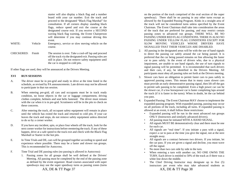starter will also display a black flag and a number board with your car number. Exit the track and proceed to the designated "Black Flag Marshal" for consultation. If all corners display standing black flags, reduce speed and exit the course at the designated course exit. If you receive a SECOND waving black flag warning, the Event Chairperson will determine if you may continue driving this event.

WHITE: Vehicle Emergency, service or slow moving vehicle on the course.

CHECKERED: Finish The session is over. Take a cool-off lap and proceed off the track via the designated exit. Passing rules are still in place. Do not remove safety equipment until the car is stopped in cold pits.

If other flags are used, they will be announced at the Drivers Meeting.

#### **XVI RUN SESSIONS**

- A. The driver must be in pre-grid and ready to drive at the time listed in the schedule, as revised by PA announcements. Late drivers may not be allowed to participate in that run session.
- B. When entering pre-grid, all cars and occupants must be in track ready condition, no loose objects in the car or luggage compartment, driving clothes complete, helmets and seat belts fastened. The driver must remain with the car when it is in pre-grid. Scrutineers will be in the pits to check on these concerns.
- C. After entering the track, all occupant safety equipment will remain in place until the vehicle has exited the track and returned to cold pits. If your car leaves the track and stops, do not remove safety equipment unless directed to do so by a corner worker.
- D. If you have any incident, spin, or place four wheels off the track, look for the next corner worker for instructions before reentering the track. If any of these happen, drive at a safe speed to the track exit and check with the Black Flag Marshall or Starter in the hot pits.
- E. In Time Trials and DE, cars will be grouped together according to speed and experience where possible. There may be a faster and slower run groups. This is recommended for Autocross.

AX, DE & TT Page 37

- F. Time Trial and DE passing rules (no passing is allowed in Autocross):
	- 1. Passing zones for all groups shall be well defined at the Drivers' Meeting. All passing must be completed by the end of the passing zone as defined by the event organizer. Road courses associated with super speedways may use the super speedway turns as passing zones (turns

on the portion of the track comprised of the oval section of the super speedway). There shall be no passing in any other turns except as allowed by the Expanded Passing Program. Kinks in a straight area of the track will not be considered turns unless specified by the Event Chairman. The Event Chairman shall take into consideration the areas of the track that are preferred for passing, and may restrict certain passing zones to advanced run groups. THERE WILL BE NO PASSING UNDER RED FLAG CONDITIONS. THERE IS ALSO NO PASSING UNDER YELLOW FLAG CONDITIONS EXCEPT FOR SLOW MOVING VEHICLES WHOSE DRIVERS HAVE SIGNALLED THAT THEIR VEHICLES ARE DISABLED.

- 2. All passing in the designated areas will be with the use of hand signals to direct the passing car safely around the car being passed. It is preferred that the car being passed remains on line allowing the faster car to pass safely. In the event of drivers who, due to a physical impairment, are unable to use hand signals, the use of turn signals to signal passing will be permitted. It is recommended that such drivers and their cars, if any, be identified in the Drivers Meeting. All participants must obey all passing rules set forth at the Drivers meeting.
- 3. Slower cars have an obligation to permit faster cars to pass safely in approved passing zones. This means that in many cases slower cars must provide an early demonstrative passing signal, then lift off the gas to permit safe passing to be completed. Even a high power car can be the slower car, if a low horsepower car is faster completing laps around the track (if it is faster in the turns). When in doubt, let the car behind you pass.
- 4. Expanded Passing: The Event Chairman MAY choose to implement the expanded passing program. With expanded passing, passing may occur on all portions of the track, including all turns. If expanded passing is allowed at an event, it shall follow these restrictions:
	- Expanded passing will be run in the most advanced run groups ONLY (Instructors and similarly advanced drivers).
	- All passing must be initiated WITH A HAND SIGNAL.
	- All signals MUST BE demonstratively clear and there must be one for each car.
	- All signals are "real time". If you initiate a pass with a signal, expect a car to pass at the time you give the signal, not at the next straight away.
	- All signals are a contract between two drivers. If you initiate, let the car pass. If you are given a signal and decline, you must wave off the signal.
	- No more than two cars side by side in the turn.
	- When entering a turn with another car, NO ONE OWNS THE TURN. Each driver is entitled to 50% of the track as if there was a white line down the middle.
	- AX, DE & TT Page 38 • The Chief Driving Instructor may designate up to five (5) instructors per event who may take advanced students as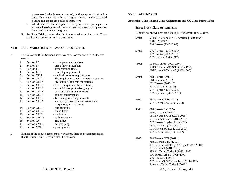passengers (no beginners or novices), for the purpose of instruction only. Otherwise, the only passengers allowed in the expanded passing run groups are qualified instructors.

- All drivers of the designated run group must participate in expanded passing. Any driver who does not care to participate must be moved to another run group.
- **5.** For Time Trials, passing shall be in the practice sessions only. There shall be no passing during the timed runs.

#### **XVII RULE VARIATIONS FOR AUTOCROSS EVENTS**

A. The following Rules Sections have exceptions or variances for Autocross events:

| 1.  | Section I.C       | - participant qualifications                  |
|-----|-------------------|-----------------------------------------------|
| 2.  | Section I.F       | - size of the car numbers                     |
| 3.  | Section I.U       | -demonstration rides                          |
| 4.  | Section X.D       | - timed lap requirements                      |
| 5.  | Section XII.A     | - medical response requirements               |
| 6.  | Section XII.D.1   | - flag requirements at corner worker stations |
| 7.  | Section XIII.A    | - seatbelt requirements for entrants          |
| 8.  | Section XIII.B    | - harness requirements for entrants           |
| 9.  | Section XIII.D    | -face shields or protective goggles           |
| 10. | Section XIII.E    | - entrant clothing requirements               |
| 11. | Section XIII.F    | - roll bar requirements                       |
| 12. | Section XIII.L    | - fire extinguisher requirements              |
| 13. | Section XIII.P    | - sunroof, convertible and removable or       |
|     |                   | Targa tops, arm restraints                    |
| 14. | Section XIII.Q    | - arm restraints                              |
| 15. | Section XIII.R    | - brake lights                                |
| 16. | Section XIII.T    | -tow hooks                                    |
| 17. | Section XIV.D     | - tech inspection                             |
| 18. | <b>Section XV</b> | - flag usage                                  |
| 19. | Section XVI.E     | - car grouping                                |
| 20. | Section XVI.F     | - passing rules                               |
|     |                   |                                               |

B. In most of the above exceptions or variations, there is a recommendation that the Time Trial/DE requirement be followed.

#### **XVIII APPENDICES**

#### **Appendix A Street Stock Class Assignments and CC Class Points Table**

#### Street Stock Class Assignments

Vehicles not shown here are not eligible for Street Stock Classes.

- SS01: 964 911 Carrera 2/4/ RS America (1989-1994) 968 (1992-1995) 986 Boxster (1997-2004)
- SS02: 986 Boxster S (2000-2004) 987 Boxster (2005-2012) 987 Cayman (2006-2012)
- SS03: 964 911 Turbo (1991-1994) 993 911 Carrera/4/2S/4S (1995-1998) 996 Carrera/4/Targa/4S (1999-2005)
- SS04: 718 Boxster (2017-) 718 Cayman (2017-) 981 Boxster (2013-16) 981 Cayman (2013-16) 987 Boxster S (2005-2012) 987 Cayman S (2006-2012)
- SS05: 997 Carrera (2005-2012) 997 Carrera S/4S (2005-2008)
- SS06: 718 Boxster S (2017-) 718 Cayman S (2017-) 981 Boxster S/GTS (2013-2016) 981 Cayman S/GTS (2013-2016) 987 Boxster Spyder (2010-2012) 987 Cayman R (2011-2012) 991 Carrera/4/Targa (2012-2019) 997 Carrera S/4S (2009-2012)
- SS07: 718 Boxster GTS (2018-) 718 Cayman GTS (2018-) 991 Carrera S/4S/Targa S/Targa 4S (2012-2019) 991 Carrera T (2018-2019) 993 911 Turbo/Turbo S (1995-1998) 996 Turbo/Turbo S (1999-2005) 996 GT3 (2004-2005) 997 Carrera/4 GTS/Speedster (2011-2012) Panamera Turbo/Turbo S (2010-)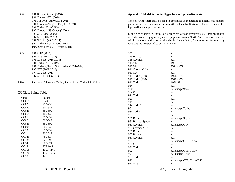- SS08: 981 Boxster Spyder (2016) 981 Cayman GT4 (2016) 991 911 50th Anniv (2014-2015) 991 Carrera/4/Targa GTS (2015-2019) 991 Turbo (2014-2015) 992 Carrera S/4S Coupe (2020-) 996 GT2 (2001-2005) 997 GT3 (2007-2011) 997 GT3 RS (2007-2011) 997 Turbo/Turbo S (2006-2013) Panamera Turbo S E-Hybrid (2018-)
- SS09: 991 911R (2017) 991 GT3 (2014-2019) 991 GT3 RS (2016,2019) 991 Turbo (2016-2019) 991 Turbo S, Turbo S Exclusive (2014-2019) 997 GT2 (2008-2010) 997 GT2 RS (2011) 997 GT3 RS 4.0 (2011)

SS10: Panamera (all except Turbo, Turbo S, and Turbo S E-Hybrid)

#### CC Class Points Table

| Class | Points    |
|-------|-----------|
| CC01: | 0-249     |
| CC02: | 250-299   |
| CC03: | 300-349   |
| CC04: | 350-399   |
| CC05: | 400-449   |
| CC06: | 450-499   |
| CC07: | 500-549   |
| CC08: | 550-599   |
| CC09: | 600-649   |
| CC10: | 650-699   |
| CC11: | 700-749   |
| CC12: | 750-824   |
| CC13: | 825-899   |
| CC14: | 900-974   |
| CC15: | 975-1049  |
| CC16: | 1050-1149 |
| CC17: | 1150-1249 |
| CC18: | $1250+$   |

#### **Appendix B Model Series for Upgrades and Update/Backdate**

The following chart shall be used to determine if an upgrade to a non-stock factory part is within the same model series as the vehicle for Section III Parts T & Y and for Update/Backdate per Section IV.

Model Series only pertains to North American version street vehicles. For the purposes of Performance Equipment points, equipment from a North American street car not within the model series is considered to be "Other factory". Components from factory race cars are considered to be "Aftermarket".

| 356                      | All                       |
|--------------------------|---------------------------|
| 718 Boxster              | All                       |
| 718 Cayman               | All                       |
| 911/912                  | 1965-1973                 |
| 911/912                  | 1974-1977                 |
| 911 Carrera $(3.2)^1$    | All                       |
| 911SC <sup>1</sup>       | All                       |
| 911 Turbo (930)          | 1976-1977                 |
| 911 Turbo (930)          | 1978-1979                 |
| 911 Turbo                | 1986-89                   |
| 914                      | All                       |
| $924^2$                  | All except 924S           |
| 924S <sup>a</sup>        | All                       |
| $924$ Turbo <sup>2</sup> | All                       |
| 928                      | All                       |
| $944^{3,a}$              | All                       |
| 944 Turbo $3$            | All                       |
| 964                      | All except Turbo          |
| 964 Turbo                | All                       |
| 968                      | All                       |
| 981 Boxster              | All except Spyder         |
| 981 Boxster Spyder       | All                       |
| 981 Cayman               | All except GT4            |
| 981 Cayman GT4           | A <sub>11</sub>           |
| 986 Boxster              | All                       |
| 987 Boxster              | All                       |
| 987 Cayman               | All                       |
| 991                      | All except GT3, Turbo     |
| 991 GT3                  | A <sub>11</sub>           |
| 991 Turbo                | All                       |
| 992                      | All except GT3, Turbo     |
| 993                      | All except Turbo          |
| 993 Turbo                | All                       |
| 996                      | All except GT3, Turbo/GT2 |
| 996 GT3                  | All                       |
|                          |                           |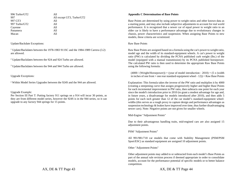| 996 Turbo/GT2 | All                       |
|---------------|---------------------------|
| 997           | All except GT3, Turbo/GT2 |
| 997 GT3       | All                       |
| 997 Turbo/GT2 | All                       |
| Cayenne       | All                       |
| Panamera      | All                       |
| Macan         | Δ 11                      |

Update/Backdate Exceptions:

1 Update/Backdates between the 1978-1983 911SC and the 1984-1989 Carrera (3.2) are allowed.

2 Update/Backdates between the 924 and 924 Turbo are allowed.

3 Update/Backdates between the 944 and 944 Turbo are allowed.

Upgrade Exceptions:

a Within Model Series Upgrades between the 924S and the 944 are allowed.

Upgrade Example:

Per Section III Part T: Putting factory 911 springs on a 914 will incur 30 points, as they are from different model series, however the 924S is in the 944 series, so it can upgrade to any factory 944 springs for 15 points.

#### **Appendix C Determination of Base Points**

Base Points are determined by using power to weight ratios and other known data as a starting point, and may also include subjective adjustments to account for real world performance. It is recognized that a newer car of equal power to weight ratio to an older car is likely to have a performance advantage due to evolutionary changes in chassis, power characteristics and suspension. When assigning Base Points to new models, these criteria are scrutinized.

#### Raw Base Points

Raw Base Points are assigned based on a formula using the car's power to weight ratio, model age and the width of its standard‐equipment wheels. A car's power to weight ratio (PW) is calculated by dividing the PCNA published curb weight (lbs.) of the model (equipped with a manual transmission) by its PCNA published horsepower. The calculated PW ratio is then used to determine the appropriate Raw Base Points using the following formula:

 $(4000 / (Weight/Horsepower)) + (year of model introduction - 2010) + (5 x (width$ in inches of one front + one rear standard-equipment wheel  $-12$ ) = Raw Base Points

Explanation: This formula takes the inverse of the PW ratio and multiplies it by 4000 (creating a steepening curve that assigns progressively higher and higher Base Points for each incremental improvement in PW ratio, then subtracts one point for each year since the model's introduction prior to 2010 (to grant a modest advantage for age and, in future years, a disadvantage for models introduced after 2010), and then adds 5 points for each inch greater than 12 of the car model's standard-equipment wheelwidths (this serves as a rough proxy to capture design and performance advantages as suspension technology & brakes have improved over time, thus further disadvantaging newer cars). Note: Negative points are not given for smaller wheels.

Mid-Engine "Adjustment Points"

Due to their advantageous handling traits, mid-engined cars are also assigned 15 adjustment points.

PSM "Adjustment Points"

All 991/981/718 car models that come with Stability Management (PSM/PSM Sport/ESC) as standard equipment are assigned 10 adjustment points.

Other "Adjustment Points"

Other adjustment points may added to or subtracted from each model's Base Points as part of the annual rule revision process if deemed appropriate in order to consolidate models, account for the performance potential of specific models or to better balance competition.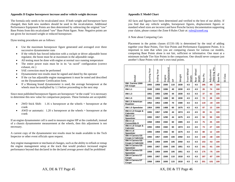#### **Appendix D Engine horsepower increase and/or vehicle weight decrease**

The formula only needs to be recalculated once. If both weight and horsepower have changed, then both new numbers should be used in the recalculation. Additional Performance Equipment Points are then determined by subtracting the original "raw" Base Points from this recalculated "raw" Base Point figure. Note: Negative points are not given for increased weight or reduced horsepower.

Dyno testing procedures are as follows:

- Use the maximum horsepower figure generated and averaged over three successive dynamometer runs
- If the vehicle has forced induction with a cockpit or driver adjustable boost regulator, the boost must be at maximum in the adjustable range.
- . All testing must be done with engine at normal race running temperature
- . The entire power train must be in its "as raced" configuration (correct exhaust, etc.)
- . SAE correction must be performed
- . Dynamometer test results must be signed and dated by the operator
- . If the car has adjustable engine management it must be noted and described on the Dynamometer Certification form.
- $\bullet$  If a Mustang brand dynamometer is used, the average horsepower at the wheels must be multiplied by 1.1 before proceeding to the next step

Since most published horsepower figures are horsepower "at the crank" it is necessary to determine this new value for comparison purposes. These formulas are acceptable:

- $\bullet$  2WD Stick Shift: 1.16 x horsepower at the wheels = horsepower at the crank
- $\bullet$  AWD or automatic: 1.20 x horsepower at the wheels = horsepower at the crank

If an engine dynamometer cell is used to measure engine HP at the crankshaft, instead of a chassis dynamometer measurement at the wheels, then this adjustment is not necessary.

A current copy of the dynamometer test results must be made available to the Tech Inspector or other event officials upon request.

Any engine management or mechanical changes, such as the ability to reflash or remap the engine management setup at the track that would produce increased engine performance beyond that declared in the declared average power shall be prohibited

#### **Appendix E Model Chart**

All facts and figures have been determined and verified to the best of our ability. If you find that any vehicle weights, horsepower figures, displacement figures or standard wheel sizes are incorrect and have Porsche factory documentation supporting your claim, please contact the Zone 8 Rules Chair at: rules@zone8.org

A Note about Comparing Cars

Placement in the points classes (CC01-18) is determined by the total of adding together your Base Points, Tire Size Points and Performance Equipment Points. It is important to note that when you are comparing classes for various car models, comparing Base Points alone is not fair, sufficient or informative. One must at a minimum include Tire Size Points in the comparison. One should never compare just another's Base Points with one's own total points.

| Vlodel                                           | Starting Year | Ending Year | Displacement<br>Engine | 웊   | Weight | Front Wheel<br>Width | Rear Wheel<br>Width | Pts<br>Raw | Mid-Eng Pts<br>Adjustment | Pts<br>Base | Class<br>SS |
|--------------------------------------------------|---------------|-------------|------------------------|-----|--------|----------------------|---------------------|------------|---------------------------|-------------|-------------|
| 356 Carrera 1500<br><b>GS Coupe</b>              | 1955          | 1958        | 1500                   | 110 | 1830   | 4.5                  | 4.5                 | 185        | $-85$                     | 100         |             |
| 356 1.1                                          | 1949          | 1955        | 1086                   | 40  | 1830   | 4.5                  | 4.5                 | 26         | 74                        | 100         |             |
| 356 1.3                                          | 1951          | 1955        | 1266                   | 44  | 1830   | 4.5                  | 4.5                 | 37         | 63                        | 100         |             |
| 356 1.5                                          | 1951          | 1955        | 1488                   | 60  | 1830   | 4.5                  | 4.5                 | 72         | 28                        | 100         |             |
| 356 1.5 American<br>Roadster                     | 1952          | 1953        | 1488                   | 70  | 1580   | 4.5                  | 4.5                 | 119        | $-19$                     | 100         |             |
| 356 1.5 Speedster                                | 1954          | 1955        | 1488                   | 60  | 1675   | 4.5                  | 4.5                 | 87         | 13                        | 100         |             |
| 356 A 1.3 Coupe &<br>Cabriolet                   | 1955          | 1957        | 1290                   | 44  | 1874   | 4.5                  | 4.5                 | 39         | 61                        | 100         |             |
| 356 A 1.3<br>Speedster                           | 1955          | 1957        | 1290                   | 44  | 1675   | 4.5                  | 4.5                 | 50         | 50                        | 100         |             |
| 356 A 1.6<br><b>Convertible D</b>                | 1958          | 1959        | 1582                   | 60  | 1885   | 4.5                  | 4.5                 | 75         | 25                        | 100         |             |
| 356 A 1.6 Coupe &<br>Cabriolet                   | 1955          | 1959        | 1582                   | 60  | 1874   | 4.5                  | 4.5                 | 73         | 27                        | 100         |             |
| 356 A 1.6<br>Speedster                           | 1955          | 1959        | 1582                   | 60  | 1675   | 4.5                  | 4.5                 | 88         | 12                        | 100         |             |
| 356 A Carrera GS<br><b>Coupe &amp; Cabriolet</b> | 1955          | 1957        | 1500                   | 100 | 2050   | 4.5                  | 4.5                 | 140        | $-40$                     | 100         |             |
| 356 A Carrera GS<br><b>Coupe &amp; Cabriolet</b> | 1958          | 1959        | 1600                   | 105 | 2050   | 4.5                  | 4.5                 | 153        | $-53$                     | 100         |             |
| 356 A Carrera GS<br>Speedster                    | 1955          | 1957        | 1500                   | 100 | 1851   | 4.5                  | 4.5                 | 161        | $-61$                     | 100         |             |
| 356 A Carrera GS<br>Speedster                    | 1958          | 1959        | 1600                   | 105 | 1851   | 4.5                  | 4.5                 | 175        | $-75$                     | 100         |             |
| 356 A Carrera GT<br>Coupe                        | 1955          | 1957        | 1500                   | 110 | 1818   | 4.5                  | 4.5                 | 187        | $-87$                     | 100         |             |
| 356 A Carrera GT<br>Coupe                        | 1958          | 1959        | 1600                   | 115 | 1818   | 4.5                  | 4.5                 | 201        | $-101$                    | 100         |             |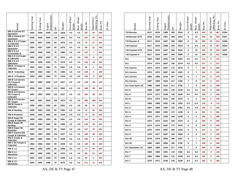| Model                                               | Starting Year | Ending Year | Displacement<br>Engine | $\hat{\mathbf{r}}$ | Weight | Front Wheel<br>Width | Rear Wheel<br>Nidth | Pts<br>Raw | Pts<br>Adjustment<br>Mid-Eng | Base Pts | Class<br>Š |
|-----------------------------------------------------|---------------|-------------|------------------------|--------------------|--------|----------------------|---------------------|------------|------------------------------|----------|------------|
| 356 A Carrera GT<br><b>Speedster</b>                | 1955          | 1958        | 1500                   | 110                | 1818   | 4.5                  | 4.5                 | 187        | $-87$                        | 100      |            |
| 356 A Carrera GT<br>Speedster                       | 1958          | 1959        | 1600                   | 115                | 1851   | 4.5                  | 4.5                 | 197        | -97                          | 100      |            |
| 356 A S 1.3 Coupe<br>& Cabriolet                    | 1955          | 1957        | 1290                   | 60                 | 1874   | 4.5                  | 4.5                 | 73         | 27                           | 100      |            |
| 356 A S 1.3<br><b>Speedster</b>                     | 1955          | 1957        | 1290                   | 60                 | 1675   | 4.5                  | 4.5                 | 88         | 12                           | 100      |            |
| 356 A S 1.6<br><b>Convertible D</b>                 | 1958          | 1959        | 1582                   | 75                 | 1885   | 4.5                  | 4.5                 | 107        | $-7$                         | 100      |            |
| 356 A S 1.6 Coupe<br>& Cabriolet                    | 1955          | 1959        | 1582                   | 75                 | 1874   | 4.5                  | 4.5                 | 105        | $-5$                         | 100      |            |
| 356 A S 1.6<br><b>Speedster</b>                     | 1955          | 1959        | 1582                   | 75                 | 1675   | 4.5                  | 4.5                 | 124        | $-24$                        | 100      |            |
| 356 B S Coupe &<br>Cabriolet                        | 1959          | 1963        | 1582                   | 75                 | 2061   | 4.5                  | 4.5                 | 95         | 5                            | 100      |            |
| 356 B S Hardtop                                     | 1959          | 1963        | 1582                   | 75                 | 1984   | 4.5                  | 4.5                 | 100        | $\mathbf{0}$                 | 100      |            |
| 356 B S Roadster                                    | 1959          | 1963        | 1582                   | 75                 | 1918   | 4.5                  | 4.5                 | 105        | -5                           | 100      |            |
| 356 B 1.6 Carrera<br>GS Coupe &<br><b>Cabriolet</b> | 1961          | 1963        | 1600                   | 110                | 2227   | 4.5                  | 4.5                 | 149        | -49                          | 100      |            |
| 356 B 1.6 Carrera<br><b>GT Coupe</b>                | 1959          | 1961        | 1600                   | 115                | 1863   | 4.5                  | 4.5                 | 196        | -96                          | 100      |            |
| 356 B 2.0 Carrera<br>GS Coupe &<br><b>Cabriolet</b> | 1961          | 1963        | 2000                   | 130                | 2227   | 4.5                  | 4.5                 | 184        | -84                          | 100      |            |
| 356 B 2.0 Carrera<br><b>GT Coupe</b>                | 1959          | 1961        | 2000                   | 155                | 1874   | 4.5                  | 4.5                 | 280        | $-180$                       | 100      |            |
| 356 B Coupe &<br>Cabriolet                          | 1959          | 1963        | 1582                   | 60                 | 2061   | 4.5                  | 4.5                 | 65         | 35                           | 100      |            |
| 356 B Hardtop                                       | 1959          | 1963        | 1582                   | 60                 | 1984   | 4.5                  | 4.5                 | 70         | 30                           | 100      |            |
| 356 B Roadster                                      | 1959          | 1963        | 1582                   | 60                 | 1918   | 4.5                  | 4.5                 | 74         | 26                           | 100      |            |
| 356 B Super 90<br><b>Coupe &amp; Cabriolet</b>      | 1959          | 1963        | 1582                   | 90                 | 2061   | 4.5                  | 4.5                 | 124        | $-24$                        | 100      |            |
| 356 B Super 90<br>Hardtop                           | 1959          | 1963        | 1582                   | 90                 | 1984   | 4.5                  | 4.5                 | 130        | $-30$                        | 100      |            |
| 356 B Super 90<br>Roadster                          | 1959          | 1963        | 1582                   | 90                 | 1918   | 4.5                  | 4.5                 | 137        | $-37$                        | 100      |            |
| 356 C Carrera GS<br><b>Coupe &amp; Cabriolet</b>    | 1963          | 1964        | 1966                   | 130                | 2227   | 4.5                  | 4.5                 | 186        | -86                          | 100      |            |
| 356 C Coupe &<br>Cabriolet                          | 1963          | 1965        | 1582                   | 75                 | 2039   | 4.5                  | 4.5                 | 100        | 0                            | 100      |            |
| 356 C SC Coupe &<br>Cabriolet                       | 1963          | 1966        | 1582                   | 95                 | 2039   | 4.5                  | 4.5                 | 139        | $-39$                        | 100      |            |
| 356 S 1.3                                           | 1953          | 1955        | 1266                   | 60                 | 1830   | 4.5                  | 4.5                 | 74         | 26                           | 100      |            |
| 356 S 1.3<br>Speedster                              | 1953          | 1955        | 1266                   | 60                 | 1675   | 4.5                  | 4.5                 | 86         | 14                           | 100      |            |
| 356 S 1.5                                           | 1952          | 1955        | 1488                   | 70                 | 1830   | 4.5                  | 4.5                 | 95         | 5                            | 100      |            |
| 356 S 1.5<br><b>Speedster</b>                       | 1954          | 1955        | 1488                   | 70                 | 1675   | 4.5                  | 4.5                 | 111        | $-11$                        | 100      |            |

| Model             | Starting Year | Ending Year | Displacement<br>Engine | 운   | Weight | Front Wheel<br>Width | Rear Wheel<br>Width | Raw Pts | Mid-Eng Pts<br>Adjustment | Base Pts | Class<br>SS |
|-------------------|---------------|-------------|------------------------|-----|--------|----------------------|---------------------|---------|---------------------------|----------|-------------|
| 718 Boxster       | 2017          | 2019        | 1988                   | 300 | 2944   | 8                    | 9.5                 | 442     | 25                        | 467      | <b>SS04</b> |
| 718 Boxster GTS   | 2018          | 2019        | 2497                   | 365 | 3032   | 8                    | 10                  | 520     | 25                        | 545      | <b>SS07</b> |
| 718 Boxster S     | 2017          | 2019        | 2497                   | 350 | 2988   | 8                    | 10                  | 506     | 25                        | 531      | <b>SS06</b> |
| 718 Cayman        | 2017          | 2019        | 1988                   | 300 | 2944   | 8                    | 9.5                 | 442     | 25                        | 467      | <b>SS04</b> |
| 718 Cayman GTS    | 2018          | 2019        | 2497                   | 365 | 3032   | 8                    | 10                  | 520     | 25                        | 545      | <b>SS07</b> |
| 718 Cayman S      | 2017          | 2019        | 2497                   | 350 | 2988   | 8                    | 10                  | 506     | 25                        | 531      | <b>SS06</b> |
| 911               | 1964          | 1968        | 1991                   | 130 | 2381   | 4.5                  | 4.5                 | 172     | 0                         | 172      |             |
| 911               | 1974          | 1974        | 2687                   | 150 | 2370   | 5.5                  | 5.5                 | 217     | 0                         | 217      |             |
| 911 Carrera       | 1974          | 1974        | 2687                   | 175 | 2370   | 6                    | 7                   | 264     | 0                         | 264      |             |
| 911 Carrera       | 1975          | 1975        | 2687                   | 165 | 2425   | 6                    | 7                   | 242     | 0                         | 242      |             |
| 911 Carrera       | 1984          | 1986        | 3164                   | 207 | 2756   | 6                    | 7                   | 279     | 0                         | 279      |             |
| 911 Carrera       | 1987          | 1989        | 3164                   | 217 | 2756   | 7                    | 8                   | 307     | 0                         | 307      |             |
| 911 Club Sport US | 1988          | 1989        | 3164                   | 217 | 2756   | 7                    | 8                   | 308     | 0                         | 308      |             |
| 911 E             | 1969          | 1969        | 1991                   | 140 | 2249   | 5.5                  | 5.5                 | 208     | 0                         | 208      |             |
| 911 E             | 1970          | 1971        | 2195                   | 155 | 2249   | 5.5                  | 5.5                 | 236     | 0                         | 236      |             |
| 911 E             | 1972          | 1973        | 2341                   | 165 | 2370   | 6                    | 6                   | 240     | 0                         | 240      |             |
| 911L              | 1968          | 1968        | 1991                   | 130 | 2381   | 5.5                  | 5.5                 | 176     | -4                        | 172      |             |
| 911 S             | 1967          | 1968        | 1991                   | 160 | 2381   | 4.5                  | 4.5                 | 226     | 0                         | 226      |             |
| 911 S             | 1969          | 1969        | 1991                   | 170 | 2249   | 6                    | 6                   | 261     | 0                         | 261      |             |
| 911 S             | 1970          | 1971        | 2195                   | 180 | 2249   | 6                    | 6                   | 280     | 0                         | 280      |             |
| 911 S             | 1972          | 1973        | 2341                   | 190 | 2370   | 6                    | 6                   | 283     | 0                         | 283      |             |
| 911 S             | 1974          | 1974        | 2687                   | 175 | 2370   | 6                    | 6                   | 259     | 0                         | 259      |             |
| 911 S             | 1975          | 1975        | 2687                   | 165 | 2425   | 6                    | 6                   | 237     | 0                         | 237      |             |
| 911 S             | 1976          | 1977        | 2687                   | 165 | 2469   | 6                    | 6                   | 233     | 0                         | 233      |             |
| 911 SC            | 1978          | 1979        | 2994                   | 180 | 2557   | 6                    | 7                   | 255     | 0                         | 255      |             |
| 911 SC            | 1980          | 1983        | 2994                   | 180 | 2756   | 6                    | 7                   | 236     | 0                         | 236      |             |
| 911 Speedster US  | 1989          | 1989        | 3164                   | 217 | 2756   | 7                    | 8                   | 309     | 0                         | 309      |             |
| 911 T             | 1968          | 1968        | 1991                   | 110 | 2381   | 5.5                  | 5.5                 | 143     | -4                        | 139      |             |
| 911 T             | 1969          | 1969        | 1991                   | 110 | 2249   | 5.5                  | 5.5                 | 155     | 0                         | 155      |             |
| 911 T             | 1970          | 1971        | 2195                   | 125 | 2249   | 5.5                  | 5.5                 | 182     | 0                         | 182      |             |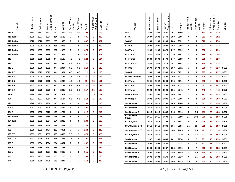| Model     | Starting Year | Ending Year | Displacement<br>Engine | 웊   | Weight | Front Wheel<br><b>Midth</b> | Rear Wheel<br><b>Width</b> | Raw Pts | 'Mid-Eng Pts<br>Adjustment | Base Pts | SS Class |
|-----------|---------------|-------------|------------------------|-----|--------|-----------------------------|----------------------------|---------|----------------------------|----------|----------|
| 911 T     | 1972          | 1973        | 2341                   | 140 | 2315   | 5.5                         | 5.5                        | 204     | 0                          | 204      |          |
| 911 Turbo | 1976          | 1977        | 2994                   | 234 | 2635   | 7                           | 8                          | 336     | 0                          | 336      |          |
| 911 Turbo | 1978          | 1978        | 3299                   | 253 | 2855   | 7                           | 8                          | 337     | 0                          | 337      |          |
| 911 Turbo | 1979          | 1979        | 3299                   | 261 | 2855   | 7                           | 8                          | 350     | 0                          | 350      |          |
| 911 Turbo | 1986          | 1987        | 3299                   | 282 | 2976   | 7                           | 9                          | 375     | 0                          | 375      |          |
| 911 Turbo | 1988          | 1989        | 3299                   | 300 | 2976   | 7                           | 9                          | 401     | 0                          | 401      |          |
| 912       | 1966          | 1968        | 1582                   | 90  | 2138   | 4.5                         | 4.5                        | 124     | 0                          | 124      |          |
| 912       | 1969          | 1969        | 1582                   | 90  | 2090   | 4.5                         | 4.5                        | 131     | 0                          | 131      |          |
| 912 E     | 1976          | 1976        | 1971                   | 86  | 2394   | 5.5                         | 5.5                        | 110     | 0                          | 110      |          |
| 914 1.7   | 1970          | 1973        | 1679                   | 80  | 1984   | 4.5                         | 4.5                        | 121     | 15                         | 136      |          |
| 914 1.8   | 1974          | 1974        | 1795                   | 72  | 2138   | 4.5                         | 4.5                        | 99      | 15                         | 114      |          |
| 914 1.8   | 1975          | 1975        | 1795                   | 72  | 2205   | 4.5                         | 4.5                        | 96      | 15                         | 111      |          |
| 914 2.0   | 1973          | 1974        | 1971                   | 95  | 2138   | 5.5                         | 5.5                        | 141     | 15                         | 156      |          |
| 914 2.0   | 1975          | 1976        | 1971                   | 84  | 2205   | 5.5                         | 5.5                        | 117     | 15                         | 132      |          |
| 914-6     | 1970          | 1972        | 1991                   | 110 | 2072   | 5.5                         | 5.5                        | 172     | 15                         | 187      |          |
| 924       | 1977          | 1977        | 1984                   | 95  | 2624   | 5.5                         | 5.5                        | 112     | 0                          | 112      |          |
| 924       | 1978          | 1982        | 1984                   | 110 | 2624   | 6                           | 6                          | 136     | 0                          | 136      |          |
| 924 S     | 1987          | 1987        | 2479                   | 150 | 2734   | 6                           | 6                          | 196     | 0                          | 196      |          |
| 924 S     | 1988          | 1988        | 2479                   | 160 | 2734   | 6                           | 6                          | 212     | 0                          | 212      |          |
| 924 Turbo | 1980          | 1980        | 1984                   | 143 | 2822   | 6                           | 6                          | 173     | 0                          | 173      |          |
| 924 Turbo | 1981          | 1982        | 1984                   | 154 | 2822   | 6                           | 6                          | 189     | 0                          | 189      |          |
| 928       | 1978          | 1979        | 4474                   | 219 | 3351   | 7                           | 7                          | 239     | 0                          | 239      |          |
| 928       | 1980          | 1982        | 4474                   | 220 | 3351   | 7                           | 7                          | 243     | 0                          | 243      |          |
| 928 GT    | 1989          | 1991        | 4957                   | 326 | 3483   | 7.5                         | 9                          | 376     | 0                          | 376      |          |
| 928 GTS   | 1992          | 1995        | 4957                   | 345 | 3567   | 7.5                         | 9                          | 391     | 0                          | 391      |          |
| 928 S     | 1983          | 1984        | 4664                   | 234 | 3351   | 7                           | 7                          | 262     | 0                          | 262      |          |
| 928 S     | 1985          | 1986        | 4957                   | 288 | 3351   | 7                           | 7                          | 329     | 0                          | 329      |          |
| 928 S4    | 1987          | 1991        | 4957                   | 316 | 3483   | 7                           | 8                          | 355     | 0                          | 355      |          |
| 944       | 1982          | 1987        | 2479                   | 150 | 2778   | 7                           | 7                          | 198     | 0                          | 198      |          |
| 944       | 1988          | 1988        | 2479                   | 158 | 2844   | 7                           | $\overline{7}$             | 210     | 0                          | 210      |          |

| Vlodel                | Starting Year | Ending Year | Displacement<br>Engine | 운   | Weight | Front Wheel<br>Width | Rear Wheel<br>Width | Raw Pts | 혼<br>Adjustment<br>Mid-Eng | Pts<br>Base | SS Class    |
|-----------------------|---------------|-------------|------------------------|-----|--------|----------------------|---------------------|---------|----------------------------|-------------|-------------|
| 944                   | 1989          | 1989        | 2681                   | 162 | 2866   | 7                    | 7                   | 215     | 0                          | 215         |             |
| 944 S                 | 1987          | 1988        | 2479                   | 190 | 2866   | 7                    | 7                   | 252     | 0                          | 252         |             |
| 944 S <sub>2</sub>    | 1989          | 1989        | 2990                   | 208 | 2932   | 7                    | 8                   | 278     | 0                          | 278         |             |
| 944 S <sub>2</sub>    | 1990          | 1991        | 2990                   | 208 | 2998   | 7                    | 8                   | 273     | 0                          | 273         |             |
| 944 Turbo             | 1986          | 1986        | 2479                   | 217 | 2899   | 7                    | 8                   | 290     | 0                          | 290         |             |
| 944 Turbo             | 1987          | 1988        | 2479                   | 220 | 2998   | 7                    | 8                   | 286     | O                          | 286         |             |
| 944 Turbo             | 1989          | 1990        | 2479                   | 247 | 2998   | 7                    | 9                   | 329     | 0                          | 329         |             |
| 944 TurboS            | 1988          | 1988        | 2479                   | 247 | 2998   | 7                    | 9                   | 328     | 0                          | 328         |             |
| 964 C <sub>2</sub>    | 1990          | 1994        | 3596                   | 250 | 3031   | 6                    | 8                   | 320     | 0                          | 320         | <b>SS01</b> |
| 964 C4                | 1989          | 1994        | 3596                   | 250 | 3252   | 6                    | 8                   | 297     | 0                          | 297         | <b>SS01</b> |
| 964 RS America        | 1993          | 1994        | 3596                   | 250 | 3031   | 7                    | 8                   | 328     | 0                          | 328         | <b>SS01</b> |
| 964 Turbo             | 1991          | 1992        | 3299                   | 315 | 3274   | 7                    | 9                   | 386     | 0                          | 386         | <b>SS03</b> |
| 964 Turbo             | 1993          | 1993        | 3596                   | 360 | 3274   | 7                    | 9                   | 443     | O                          | 443         | <b>SS03</b> |
| 964 Turbo             | 1994          | 1994        | 3596                   | 355 | 3241   | 7                    | 9                   | 442     | 0                          | 442         | <b>SS03</b> |
| 968 Cabriolet         | 1992          | 1995        | 2990                   | 240 | 3241   | 7                    | 8                   | 293     | 0                          | 293         | <b>SS01</b> |
| 968 Coupe             | 1992          | 1995        | 2990                   | 240 | 3086   | 7                    | 8                   | 308     | 0                          | 308         | <b>SS01</b> |
| 981 Boxster           | 2013          | 2016        | 2706                   | 265 | 2888   | 8                    | 9                   | 395     | 25                         | 420         | <b>SS04</b> |
| 981 Boxster GTS       | 2015          | 2016        | 3436                   | 330 | 2965   | 8                    | 9.5                 | 478     | 25                         | 503         | <b>SS06</b> |
| 981 Boxster S         | 2013          | 2016        | 3436                   | 315 | 2910   | 8                    | 9.5                 | 463     | 25                         | 488         | <b>SS06</b> |
| 981 Boxster<br>Spyder | 2016          | 2016        | 3800                   | 375 | 2899   | 8.5                  | 10.5                | 558     | 25                         | 583         | <b>SS08</b> |
| 981 Cayman            | 2013          | 2016        | 2706                   | 275 | 2888   | 8                    | 9                   | 409     | 25                         | 434         | <b>SS04</b> |
| 981 Cayman GT4        | 2016          | 2016        | 3800                   | 385 | 2955   | 8.5                  | 11                  | 565     | 25                         | 590         | <b>SS08</b> |
| 981 Cayman GTS        | 2015          | 2016        | 3436                   | 340 | 2965   | 8                    | 9.5                 | 491     | 25                         | 516         | <b>SS06</b> |
| 981 Cayman S          | 2013          | 2016        | 3436                   | 325 | 2910   | 8                    | 9.5                 | 477     | 25                         | 502         | <b>SS06</b> |
| 986 Boxster           | 1997          | 1999        | 2480                   | 201 | 2778   | 6                    | 7                   | 281     | 15                         | 296         | <b>SS01</b> |
| 986 Boxster           | 2000          | 2002        | 2687                   | 217 | 2778   | 6                    | 7                   | 307     | 15                         | 322         | <b>SS01</b> |
| 986 Boxster           | 2003          | 2004        | 2687                   | 225 | 2811   | 6                    | 7                   | 318     | 15                         | 333         | <b>SS01</b> |
| 986 Boxster S         | 2000          | 2002        | 3179                   | 250 | 2855   | 7                    | 8.5                 | 358     | 15                         | 373         | <b>SS02</b> |
| 986 Boxster S         | 2003          | 2004        | 3179                   | 258 | 2910   | 7                    | 8.5                 | 365     | 15                         | 380         | <b>SS02</b> |
| 987 Boxster           | 2005          | 2006        | 2687                   | 240 | 2855   | 6.5                  | 8                   | 344     | 15                         | 359         | <b>SS02</b> |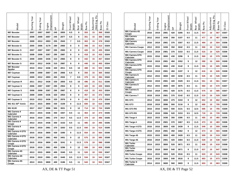| Aodel                                 | Starting Year | Ending Year | Displacement<br>Engine | 웊   | Weight | Front Wheel<br>Width | Rear Wheel<br>Nidth | Pts<br>Raw I | <b>Pts</b><br>Adjustment<br>Mid-Eng | Pts<br><b>Base</b> | Class<br>S  |
|---------------------------------------|---------------|-------------|------------------------|-----|--------|----------------------|---------------------|--------------|-------------------------------------|--------------------|-------------|
| 987 Boxster                           | 2007          | 2007        | 2687                   | 245 | 2855   | 6.5                  | 8                   | 353          | 15                                  | 368                | <b>SS02</b> |
| 987 Boxster                           | 2008          | 2008        | 2687                   | 245 | 2877   | 6.5                  | 8                   | 351          | 15                                  | 366                | <b>SS02</b> |
| 987 Boxster                           | 2009          | 2012        | 2893                   | 255 | 2943   | 7                    | 8.5                 | 363          | 15                                  | 378                | <b>SS02</b> |
| 987 Boxster S                         | 2005          | 2006        | 3179                   | 280 | 2965   | 8                    | 9                   | 398          | 15                                  | 413                | <b>SS04</b> |
| 987 Boxster S                         | 2007          | 2007        | 3387                   | 295 | 2965   | 8                    | 9                   | 420          | 15                                  | 435                | <b>SS04</b> |
| 987 Boxster S                         | 2008          | 2008        | 3387                   | 295 | 2987   | 8                    | 9                   | 418          | 15                                  | 433                | <b>SS04</b> |
| 987 Boxster S                         | 2009          | 2009        | 3436                   | 310 | 2965   | 8                    | 9                   | 442          | 15                                  | 457                | <b>SS04</b> |
| 987 Boxster S                         | 2010          | 2012        | 3436                   | 310 | 2987   | 8                    | 9                   | 440          | 15                                  | 455                | <b>SS04</b> |
| 987 Boxster<br>Spyder                 | 2010          | 2012        | 3436                   | 320 | 2811   | 8.5                  | 10                  | 488          | 15                                  | 503                | <b>SS06</b> |
| 987 Cayman                            | 2006          | 2008        | 2687                   | 245 | 2866   | 6.5                  | 8                   | 350          | 15                                  | 365                | <b>SS02</b> |
| 987 Cayman                            | 2009          | 2012        | 2893                   | 265 | 2932   | 7                    | 8.5                 | 379          | 15                                  | 394                | <b>SS02</b> |
| 987 Cayman R                          | 2011          | 2012        | 3436                   | 330 | 2855   | 8.5                  | 10                  | 496          | 15                                  | 511                | <b>SS06</b> |
| 987 Cayman S                          | 2006          | 2007        | 3387                   | 295 | 2954   | 8                    | 9                   | 420          | 15                                  | 435                | <b>SS04</b> |
| 987 Cayman S                          | 2008          | 2008        | 3387                   | 295 | 2987   | 8                    | 9                   | 418          | 15                                  | 433                | <b>SS04</b> |
| 987 Cayman S                          | 2009          | 2009        | 3436                   | 320 | 2954   | 8                    | 9                   | 457          | 15                                  | 472                | <b>SS04</b> |
| 987 Cayman S                          | 2010          | 2012        | 3436                   | 320 | 2976   | 8                    | 9                   | 455          | 15                                  | 470                | <b>SS04</b> |
| 991 911 50 <sup>th</sup> Anniv        | 2014          | 2015        | 3800                   | 430 | 3109   | 9                    | 11.5                | 600          | 10                                  | 610                | <b>SS08</b> |
| 991 911R                              | 2017          | 2017        | 3996                   | 500 | 3021   | 9                    | 12                  | 714          | 10                                  | 724                | <b>SS09</b> |
| 991 Carrera 4<br>Cabriolet            | 2013          | 2015        | 3436                   | 350 | 3307   | 8.5                  | 11                  | 464          | 10                                  | 474                | <b>SS06</b> |
| 991 Carrera 4<br>Cabriolet            | 2016          | 2019        | 2981                   | 370 | 3417   | 8.5                  | 11.5                | 479          | 10                                  | 489                | <b>SS06</b> |
| 991 Carrera 4<br>Coupe                | 2013          | 2015        | 3436                   | 350 | 3153   | 8.5                  | 11                  | 485          | 10                                  | 495                | SS06        |
| 991 Carrera 4<br>Coupe                | 2016          | 2019        | 2981                   | 370 | 3263   | 8.5                  | 11.5                | 500          | 10                                  | 510                | <b>SS06</b> |
| 991 Carrera 4 GTS<br><b>Cabriolet</b> | 2015          | 2016        | 3800                   | 430 | 3395   | 9                    | 11.5                | 554          | 10                                  | 564                | <b>SS08</b> |
| 991 Carrera 4 GTS<br>Cabriolet        | 2018          | 2019        | 2981                   | 450 | 3451   | 9                    | 12                  | 575          | 10                                  | 585                | <b>SS08</b> |
| 991 Carrera 4 GTS<br>Coupe            | 2015          | 2016        | 3800                   | 430 | 3241   | 9                    | 11.5                | 578          | 10                                  | 588                | <b>SS08</b> |
| 991 Carrera 4 GTS<br>Coupe            | 2018          | 2019        | 2981                   | 450 | 3296   | 9                    | 12                  | 599          | 10                                  | 609                | <b>SS08</b> |
| 991 Carrera 4S<br>Cabriolet           | 2013          | 2015        | 3800                   | 400 | 3340   | 8.5                  | 11                  | 520          | 10                                  | 530                | <b>SS07</b> |
| 991 Carrera 4S<br>Cabriolet           | 2016          | 2019        | 2981                   | 420 | 3440   | 8.5                  | 11.5                | 534          | 10                                  | 544                | <b>SS07</b> |
| 991 Carrera 4S<br>Coupe               | 2013          | 2015        | 3800                   | 400 | 3186   | 8.5                  | 11                  | 543          | 10                                  | 553                | <b>SS07</b> |

| Model                               | Starting Year | Ending Year | <b>Displacement</b><br>Engine | 웊   | Weight | Front Wheel<br>Nidth | Rear Wheel<br>Nidth | Pts<br>Raw I | Pts<br>Adjustment<br>Mid-Eng | Pts<br>Base I | Class<br>SS |
|-------------------------------------|---------------|-------------|-------------------------------|-----|--------|----------------------|---------------------|--------------|------------------------------|---------------|-------------|
| 991 Carrera 4S<br>Coupe             | 2016          | 2019        | 2981                          | 420 | 3285   | 8.5                  | 11.5                | 557          | 10                           | 567           | <b>SS07</b> |
| 991 Carrera<br>Cabriolet            | 2012          | 2015        | 3436                          | 350 | 3197   | 8.5                  | 11                  | 477          | 10                           | 487           | <b>SS06</b> |
| 991 Carrera<br>Cabriolet            | 2016          | 2019        | 2981                          | 370 | 3307   | 8.5                  | 11.5                | 494          | 10                           | 504           | <b>SS06</b> |
| 991 Carrera Coupe                   | 2012          | 2015        | 3436                          | 350 | 3042   | 8.5                  | 11                  | 500          | 10                           | 510           | <b>SS06</b> |
| 991 Carrera Coupe                   | 2016          | 2019        | 2981                          | 370 | 3153   | 8.5                  | 11.5                | 515          | 10                           | 525           | <b>SS06</b> |
| 991 Carrera GTS<br><b>Cabriolet</b> | 2015          | 2016        | 3800                          | 430 | 3296   | 9                    | 11.5                | 569          | 10                           | 579           | <b>SS08</b> |
| 991 Carrera GTS<br>Cabriolet        | 2018          | 2019        | 2981                          | 450 | 3352   | 9                    | 12                  | 590          | 10                           | 600           | <b>SS08</b> |
| 991 Carrera GTS<br>Coupe            | 2015          | 2016        | 3800                          | 430 | 3142   | 9                    | 11.5                | 595          | 10                           | 605           | <b>SS08</b> |
| 991 Carrera GTS<br>Coupe            | 2018          | 2019        | 2981                          | 450 | 3197   | 9                    | 12                  | 616          | 10                           | 626           | <b>SS08</b> |
| 991 Carrera S<br>Cabriolet          | 2012          | 2015        | 3800                          | 400 | 3230   | 8.5                  | 11                  | 535          | 10                           | 545           | <b>SS07</b> |
| 991 Carrera S<br><b>Cabriolet</b>   | 2016          | 2019        | 2981                          | 420 | 3329   | 8.5                  | 11.5                | 551          | 10                           | 561           | <b>SS07</b> |
| 991 Carrera S<br>Coupe              | 2012          | 2015        | 3800                          | 400 | 3075   | 8.5                  | 11                  | 560          | 10                           | 570           | <b>SS07</b> |
| 991 Carrera S<br>Coupe              | 2016          | 2019        | 2981                          | 420 | 3175   | 8.5                  | 11.5                | 575          | 10                           | 585           | <b>SS07</b> |
| 991 Carrera T                       | 2018          | 2019        | 2981                          | 370 | 3142   | 8.5                  | 11.5                | 519          | 10                           | 529           | <b>SS07</b> |
| 991 GT3                             | 2014          | 2016        | 3800                          | 475 | 3153   | 9                    | 12                  | 652          | 10                           | 662           | <b>SS09</b> |
| 991 GT3                             | 2018          | 2019        | 3996                          | 500 | 3116   | 9                    | 12                  | 695          | 10                           | 705           | <b>SS09</b> |
| 991 GT3 RS                          | 2016          | 2016        | 4000                          | 500 | 3131   | 9.5                  | 12.5                | 695          | 10                           | 705           | <b>SS09</b> |
| 991 GT3 RS                          | 2019          | 2019        | 3996                          | 520 | 3153   | 9.5                  | 12.5                | 719          | 10                           | 729           | <b>SS09</b> |
| 991 Targa 4                         | 2015          | 2015        | 3436                          | 350 | 3395   | 8.5                  | 11                  | 455          | 10                           | 465           | <b>SS06</b> |
| 991 Targa 4                         | 2016          | 2019        | 2981                          | 370 | 3467   | 8.5                  | 11.5                | 473          | 10                           | 483           | <b>SS06</b> |
| 991 Targa 4 GTS                     | 2016          | 2016        | 3800                          | 430 | 3439   | 9                    | 11.5                | 549          | 10                           | 559           | <b>SS08</b> |
| 991 Targa 4 GTS                     | 2018          | 2019        | 2981                          | 450 | 3462   | 9                    | 12                  | 573          | 10                           | 583           | <b>SS08</b> |
| 991 Targa 4S                        | 2015          | 2015        | 3800                          | 400 | 3428   | 8.5                  | 11                  | 509          | 10                           | 519           | <b>SS07</b> |
| 991 Targa 4S                        | 2016          | 2019        | 2981                          | 420 | 3484   | 8.5                  | 11.5                | 528          | 10                           | 538           | <b>SS07</b> |
| 991 Turbo<br>Cabriolet              | 2014          | 2015        | 3800                          | 520 | 3671   | 8.5                  | 11                  | 608          | 10                           | 618           | <b>SS08</b> |
| 991 Turbo<br>Cabriolet              | 2016          | 2019        | 3800                          | 540 | 3671   | 9                    | 11.5                | 637          | 10                           | 647           | <b>SS09</b> |
| 991 Turbo Coupe                     | 2014          | 2015        | 3800                          | 520 | 3516   | 8.5                  | 11                  | 633          | 10                           | 643           | <b>SS08</b> |
| 991 Turbo Coupe                     | 2016          | 2019        | 3800                          | 540 | 3516   | 9                    | 11.5                | 663          | 10                           | 673           | <b>SS09</b> |
| 991 Turbo S<br><b>Cabriolet</b>     | 2014          | 2015        | 3800                          | 560 | 3693   | 9                    | 11.5                | 653          | 10                           | 663           | <b>SS09</b> |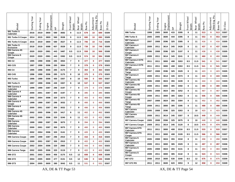| Vloqel                            | Starting Year | Ending Year | Displacement<br>Engine | 웊   | Weight | Front Wheel<br>Width | Wheel<br>Nidth<br>Rear | Pts<br>Raw | 찬<br>Adjustment<br>Mid-Eng | Pts<br><b>Base</b> | Class<br>SS |
|-----------------------------------|---------------|-------------|------------------------|-----|--------|----------------------|------------------------|------------|----------------------------|--------------------|-------------|
| 991 Turbo S<br><b>Cabriolet</b>   | 2016          | 2019        | 3800                   | 580 | 3682   | 9                    | 11.5                   | 679        | 10                         | 689                | <b>SS09</b> |
| 991 Turbo S Coupe                 | 2014          | 2015        | 3800                   | 560 | 3538   | 9                    | 11.5                   | 680        | 10                         | 690                | <b>SS09</b> |
| 991 Turbo S Coupe                 | 2016          | 2019        | 3800                   | 580 | 3527   | 9                    | 11.5                   | 706        | 10                         | 716                | <b>SS09</b> |
| 991 Turbo S<br><b>Exclusive</b>   | 2018          | 2018        | 3088                   | 607 | 3528   | 9                    | 11.5                   | 739        | 10                         | 749                | <b>SS09</b> |
| 992 Carrera 4S<br>Coupe           | 2020          | 2020        | 2981                   | 443 | 3487   | 8.5                  | 11.5                   | 558        | 10                         | 568                | <b>SS08</b> |
| 992 Carrera S<br>Coupe            | 2020          | 2020        | 2981                   | 443 | 3382   | 8.5                  | 11.5                   | 574        | 10                         | 584                | SS08        |
| 993 C <sub>2</sub>                | 1995          | 1998        | 3596                   | 285 | 3064   | 7                    | 9                      | 377        | 0                          | 377                | <b>SS03</b> |
| 993 C2S                           | 1997          | 1998        | 3596                   | 285 | 3064   | 7                    | 9                      | 379        | $\mathbf{0}$               | 379                | <b>SS03</b> |
| 993 C4                            | 1995          | 1998        | 3596                   | 285 | 3175   | 7                    | 9                      | 364        | 0                          | 364                | <b>SS03</b> |
| 993 C4S                           | 1996          | 1998        | 3596                   | 285 | 3175   | 8                    | 10                     | 375        | 0                          | 375                | <b>SS03</b> |
| 993 Turbo                         | 1996          | 1998        | 3596                   | 400 | 3307   | 8                    | 10                     | 500        | 0                          | 500                | <b>SS07</b> |
| 993 Turbo S                       | 1997          | 1998        | 3596                   | 430 | 3307   | 8                    | 10                     | 537        | $\bf{0}$                   | 537                | <b>SS07</b> |
| 996 Carrera 4<br><b>Cabriolet</b> | 1999          | 1999        | 3387                   | 296 | 3197   | 7                    | 9                      | 379        | 0                          | 379                | <b>SS03</b> |
| 996 Carrera 4<br>Cabriolet        | 2000          | 2001        | 3387                   | 300 | 3197   | 7                    | 9                      | 385        | $\bf{0}$                   | 385                | <b>SS03</b> |
| 996 Carrera 4<br>Cabriolet        | 2002          | 2004        | 3596                   | 320 | 3273   | 7                    | 9                      | 403        | 0                          | 403                | <b>SS03</b> |
| 996 Carrera 4<br>Coupe            | 1999          | 1999        | 3387                   | 296 | 3032   | 7                    | 9                      | 400        | 0                          | 400                | <b>SS03</b> |
| 996 Carrera 4<br>Coupe            | 2000          | 2001        | 3387                   | 300 | 3032   | 7                    | 9                      | 406        | 0                          | 406                | <b>SS03</b> |
| 996 Carrera 4S<br>Cabriolet       | 2002          | 2005        | 3596                   | 320 | 3417   | 8                    | 11                     | 402        | 0                          | 402                | <b>SS03</b> |
| 996 Carrera 4S<br>Coupe           | 2002          | 2005        | 3596                   | 320 | 3240   | 8                    | 11                     | 422        | 0                          | 422                | <b>SS03</b> |
| 996 Carrera<br><b>Cabriolet</b>   | 1999          | 1999        | 3387                   | 296 | 3075   | 7                    | 9                      | 394        | 0                          | 394                | <b>SS03</b> |
| 996 Carrera<br>Cabriolet          | 2000          | 2001        | 3387                   | 300 | 3075   | 7                    | 9                      | 400        | 0                          | 400                | <b>SS03</b> |
| 996 Carrera<br>Cabriolet          | 2002          | 2004        | 3596                   | 320 | 3141   | 7                    | 9                      | 420        | 0                          | 420                | <b>SS03</b> |
| 996 Carrera Coupe                 | 1999          | 1999        | 3387                   | 296 | 2910   | 7                    | 9                      | 416        | 0                          | 416                | <b>SS03</b> |
| 996 Carrera Coupe                 | 2000          | 2001        | 3387                   | 300 | 2910   | 7                    | 9                      | 422        | $\mathbf 0$                | 422                | <b>SS03</b> |
| 996 Carrera Coupe                 | 2002          | 2004        | 3596                   | 320 | 2965   | 7                    | 9                      | 444        | 0                          | 444                | <b>SS03</b> |
| 996 Carrera Targa                 | 2002          | 2005        | 3596                   | 320 | 3119   | 7                    | 9                      | 422        | 0                          | 422                | <b>SS03</b> |
| 996 GT2                           | 2001          | 2003        | 3600                   | 456 | 3175   | 8.5                  | 12                     | 608        | 0                          | 608                | <b>SS08</b> |
| 996 GT2                           | 2004          | 2005        | 3600                   | 477 | 3131   | 8.5                  | 12                     | 646        | 0                          | 646                | <b>SS08</b> |
| 996 GT3                           | 2004          | 2005        | 3600                   | 380 | 3042   | 8.5                  | 11                     | 531        | $\bf{0}$                   | 531                | <b>SS07</b> |

| Vlodel                            | Starting Year | Ending Year | Displacement<br>Engine | 웊   | Neight | Front Wheel<br>Width | Rear Wheel<br>Width | Raw Pts | Mid-Eng Pts<br>Adjustment | Base Pts | Class<br>S  |
|-----------------------------------|---------------|-------------|------------------------|-----|--------|----------------------|---------------------|---------|---------------------------|----------|-------------|
| 996 Turbo                         | 1999          | 2005        | 3600                   | 415 | 3395   | 8                    | 11                  | 513     | 0                         | 513      | <b>SS07</b> |
| 996 Turbo S                       | 2005          | 2005        | 3600                   | 444 | 3395   | 8                    | 11                  | 553     | 0                         | 553      | <b>SS07</b> |
| 997 Carrera 4<br><b>Cabriolet</b> | 2007          | 2008        | 3596                   | 325 | 3385   | 8                    | 11                  | 416     | 0                         | 416      | <b>SS05</b> |
| 997 Carrera 4<br><b>Cabriolet</b> | 2009          | 2011        | 3614                   | 345 | 3428   | 8                    | 11                  | 437     | 0                         | 437      | <b>SS05</b> |
| 997 Carrera 4<br>Coupe            | 2006          | 2008        | 3596                   | 325 | 3197   | 8                    | 11                  | 438     | 0                         | 438      | <b>SS05</b> |
| 997 Carrera 4<br>Coupe            | 2009          | 2011        | 3614                   | 345 | 3241   | 8                    | 11                  | 460     | 0                         | 460      | <b>SS05</b> |
| 997 Carrera 4 GTS<br>Cabriolet    | 2011          | 2011        | 3800                   | 408 | 3263   | 8.5                  | 11.5                | 541     | 0                         | 541      | <b>SS07</b> |
| 997 Carrera 4 GTS<br>Coupe        | 2011          | 2011        | 3800                   | 408 | 3263   | 8.5                  | 11.5                | 541     | $\mathbf{0}$              | 541      | <b>SS07</b> |
| 997 Carrera 4<br>Targa            | 2007          | 2008        | 3596                   | 325 | 3329   | 8                    | 11                  | 423     | 0                         | 423      | <b>SS05</b> |
| 997 Carrera 4<br>Targa            | 2009          | 2011        | 3614                   | 345 | 3373   | 8                    | 11                  | 443     | 0                         | 443      | <b>SS05</b> |
| 997 Carrera 4S<br>Cabriolet       | 2006          | 2008        | 3824                   | 355 | 3439   | 8                    | 11                  | 444     | 0                         | 444      | <b>SS05</b> |
| 997 Carrera 4S<br>Cabriolet       | 2009          | 2011        | 3800                   | 385 | 3450   | 8                    | 11                  | 480     | 0                         | 480      | <b>SS06</b> |
| 997 Carrera 4S<br>Coupe           | 2005          | 2008        | 3824                   | 355 | 3252   | 8                    | 11                  | 467     | 0                         | 467      | <b>SS05</b> |
| 997 Carrera 4S<br>Coupe           | 2009          | 2011        | 3800                   | 385 | 3263   | 8                    | 11                  | 506     | 0                         | 506      | <b>SS06</b> |
| 997 Carrera 4S<br>Targa           | 2007          | 2008        | 3824                   | 355 | 3384   | 8                    | 11                  | 452     | 0                         | 452      | <b>SS05</b> |
| 997 Carrera 4S<br>Targa           | 2009          | 2011        | 3800                   | 385 | 3395   | 8                    | 11                  | 488     | 0                         | 488      | <b>SS06</b> |
| 997 Carrera<br><b>Cabriolet</b>   | 2005          | 2008        | 3596                   | 325 | 3263   | 8                    | 10                  | 423     | 0                         | 423      | <b>SS05</b> |
| 997 Carrera<br>Cabriolet          | 2009          | 2011        | 3614                   | 345 | 3307   | 8                    | 10.5                | 449     | 0                         | 449      | <b>SS05</b> |
| 997 Carrera Coupe                 | 2005          | 2008        | 3596                   | 325 | 3075   | 8                    | 10                  | 448     | 0                         | 448      | <b>SS05</b> |
| 997 Carrera Coupe                 | 2009          | 2011        | 3614                   | 345 | 3120   | 8                    | 10.5                | 474     | $\mathbf{0}$              | 474      | <b>SS05</b> |
| 997 Carrera GTS<br>Cabriolet      | 2011          | 2011        | 3800                   | 408 | 3316   | 8.5                  | 11.5                | 533     | 0                         | 533      | <b>SS07</b> |
| 997 Carrera GTS<br>Coupe          | 2011          | 2011        | 3800                   | 408 | 3109   | 8.5                  | 11.5                | 566     | 0                         | 566      | <b>SS07</b> |
| 997 Carrera S<br>Cabriolet        | 2005          | 2008        | 3824                   | 355 | 3318   | 8                    | 11                  | 458     | 0                         | 458      | <b>SS05</b> |
| 997 Carrera S<br>Cabriolet        | 2009          | 2011        | 3800                   | 385 | 3329   | 8                    | 11                  | 497     | 0                         | 497      | <b>SS06</b> |
| 997 Carrera S<br>Coupe            | 2005          | 2008        | 3824                   | 355 | 3131   | 8                    | 11                  | 484     | 0                         | 484      | <b>SS05</b> |
| 997 Carrera S<br>Coupe            | 2009          | 2011        | 3800                   | 385 | 3142   | 8                    | 11                  | 524     | 0                         | 524      | <b>SS06</b> |
| 997 GT2                           | 2008          | 2010        | 3600                   | 530 | 3340   | 8.5                  | 12                  | 675     | 0                         | 675      | <b>SS09</b> |
| 997 GT2 RS                        | 2011          | 2011        | 3600                   | 620 | 3053   | 9                    | 12                  | 858     | 0                         | 858      | <b>SS09</b> |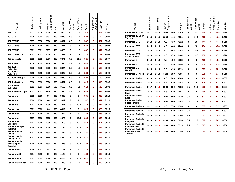| Vlodel                                          | Starting Year | Ending Year | <b>Displacement</b><br>Engine | 웊   | Weight | Front Wheel<br>Nidth | Rear Wheel<br>Width | Pts<br>Raw <sub></sub> | <b>Pts</b><br>Adjustment<br>Mid-Eng | Pts<br>Base | Class<br>SS |
|-------------------------------------------------|---------------|-------------|-------------------------------|-----|--------|----------------------|---------------------|------------------------|-------------------------------------|-------------|-------------|
| 997 GT3                                         | 2007          | 2008        | 3600                          | 415 | 3075   | 8.5                  | 12                  | 579                    | 0                                   | 579         | <b>SS08</b> |
| 997 GT3                                         | 2009          | 2011        | 3797                          | 435 | 3075   | 8.5                  | 12                  | 607                    | 0                                   | 607         | <b>SS08</b> |
| 997 GT3 RS                                      | 2007          | 2008        | 3600                          | 415 | 3031   | 8.5                  | 12                  | 587                    | 0                                   | 587         | <b>SS08</b> |
| 997 GT3 RS                                      | 2010          | 2010        | 3797                          | 450 | 3031   | 9                    | 12                  | 639                    | 0                                   | 639         | <b>SS08</b> |
| 997 GT3 RS                                      | 2011          | 2011        | 3797                          | 450 | 3020   | 9                    | 12                  | 642                    | $\bf{0}$                            | 642         | <b>SS08</b> |
| 997 GT3 RS 4.0                                  | 2011          | 2011        | 4000                          | 500 | 2998   | 9                    | 12                  | 713                    | 0                                   | 713         | <b>SS09</b> |
| 997 Speedster                                   | 2011          | 2011        | 3800                          | 408 | 3371   | 8.5                  | 11.5                | 525                    | 0                                   | 525         | <b>SS07</b> |
| 997 Turbo                                       | 2006          | 2008        | 3600                          | 480 | 3494   | 8.5                  | 11                  | 583                    | 0                                   | 583         | <b>SS08</b> |
| 997 Turbo<br>Cabriolet                          | 2009          | 2009        | 3600                          | 480 | 3624   | 8.5                  | 11                  | 566                    | 0                                   | 566         | <b>SS08</b> |
| 997 Turbo<br>Cabriolet                          | 2010          | 2012        | 3800                          | 500 | 3627   | 8.5                  | 11                  | 589                    | 0                                   | 589         | <b>SS08</b> |
| 997 Turbo Coupe                                 | 2009          | 2009        | 3600                          | 480 | 3470   | 8.5                  | 11                  | 590                    | 0                                   | 590         | <b>SS08</b> |
| 997 Turbo Coupe                                 | 2010          | 2012        | 3800                          | 500 | 3461   | 8.5                  | 11                  | 615                    | $\bf{0}$                            | 615         | <b>SS08</b> |
| 997 Turbo S<br><b>Cabriolet</b>                 | 2011          | 2013        | 3800                          | 530 | 3660   | 8.5                  | 11                  | 618                    | 0                                   | 618         | <b>SS08</b> |
| 997 Turbo S Coupe                               | 2011          | 2013        | 3800                          | 530 | 3494   | 8.5                  | 11                  | 645                    | $\bf{0}$                            | 645         | <b>SS08</b> |
| Panamera                                        | 2011          | 2013        | 3.6                           | 300 | 3880   | 8                    | 9                   | 335                    | 0                                   | 335         | <b>SS10</b> |
| Panamera                                        | 2014          | 2016        | 3.6                           | 310 | 3902   | 8                    | 9                   | 347                    | 0                                   | 347         | <b>SS10</b> |
| Panamera                                        | 2017          | 2019        | 2995                          | 330 | 4001   | 9                    | 10.5                | 374                    | 0                                   | 374         | <b>SS10</b> |
| Panamera 4                                      | 2011          | 2013        | 3.6                           | 300 | 4012   | 8                    | 9                   | 325                    | 0                                   | 325         | <b>SS10</b> |
| Panamera 4                                      | 2014          | 2016        | 3.6                           | 310 | 4012   | 8                    | 9                   | 338                    | 0                                   | 338         | <b>SS10</b> |
| Panamera 4                                      | 2017          | 2019        | 2995                          | 330 | 4079   | 9                    | 10.5                | 368                    | $\bf{0}$                            | 368         | <b>SS10</b> |
| Panamera 4<br><b>Executive</b>                  | 2017          | 2019        | 2995                          | 330 | 4266   | 9                    | 10.5                | 354                    | 0                                   | 354         | <b>SS10</b> |
| Panamera 4 Sport<br>Turismo                     | 2018          | 2019        | 2995                          | 330 | 4144   | 9                    | 10.5                | 364                    | 0                                   | 364         | <b>SS10</b> |
| Panamera 4 E-<br><b>Hybrid</b>                  | 2017          | 2019        | 2894                          | 462 | 4784   | 9                    | 10.5                | 431                    | 0                                   | 431         | <b>SS10</b> |
| Panamera 4 E-<br><b>Hybrid Exec</b>             | 2017          | 2019        | 2894                          | 462 | 4960   | 9                    | 10.5                | 417                    | 0                                   | 417         | <b>SS10</b> |
| Panamera 4 E-<br><b>Hybrid Sport</b><br>Turismo | 2018          | 2019        | 2894                          | 462 | 4828   | 9                    | 10.5                | 428                    | 0                                   | 428         | <b>SS10</b> |
| Panamera 4S                                     | 2010          | 2013        | 4.8                           | 400 | 4101   | 8                    | 9                   | 415                    | 0                                   | 415         | <b>SS10</b> |
| Panamera 4S                                     | 2014          | 2016        | 3.0                           | 420 | 4123   | 8                    | 9                   | 436                    | 0                                   | 436         | <b>SS10</b> |
| Panamera 4S                                     | 2017          | 2019        | 2894                          | 440 | 4123   | 9                    | 10.5                | 471                    | 0                                   | 471         | <b>SS10</b> |
| Panamera 4S Exec                                | 2014          | 2016        | 3.0                           | 420 | 4409   | 9                    | 10                  | 420                    | O                                   | 420         | <b>SS10</b> |

| Vlodel                                               | Starting Year | Ending Year | Displacement<br>Engine | $\frac{\Delta}{\Delta}$ | Weight | Front Wheel<br>Width | Rear Wheel<br><b>Width</b> | Pts<br>Raw | Pts<br>Adjustment<br>Mid-Eng | Pts<br>Base | Class<br>SS. |
|------------------------------------------------------|---------------|-------------|------------------------|-------------------------|--------|----------------------|----------------------------|------------|------------------------------|-------------|--------------|
| Panamera 4S Exec                                     | 2017          | 2019        | 2894                   | 440                     | 4365   | 9                    | 10.5                       | 448        | $\bf{0}$                     | 448         | <b>SS10</b>  |
| Panamera 4S Sport<br>Turismo                         | 2018          | 2019        | 2894                   | 440                     | 4221   | 9                    | 10.5                       | 462        | 0                            | 462         | <b>SS10</b>  |
| <b>Panamera GTS</b>                                  | 2013          | 2013        | 4.8                    | 430                     | 4232   | 9                    | 10                         | 444        | 0                            | 444         | <b>SS10</b>  |
| Panamera GTS                                         | 2014          | 2016        | 4.8                    | 440                     | 4244   | 9                    | 10                         | 454        | 0                            | 454         | <b>SS10</b>  |
| Panamera GTS                                         | 2019          | 2019        | 4.0                    | 453                     | 4398   | 9                    | 10.5                       | 459        | $\bf{0}$                     | 459         | <b>SS10</b>  |
| Panamera GTS<br><b>Sport Turismo</b>                 | 2019          | 2019        | 4.0                    | 453                     | 4464   | 9                    | 10.5                       | 452        | 0                            | 452         | <b>SS10</b>  |
| Panamera S                                           | 2010          | 2013        | 4.8                    | 400                     | 3968   | 8                    | 9                          | 428        | 0                            | 428         | <b>SS10</b>  |
| Panamera S                                           | 2014          | 2016        | 3.0                    | 420                     | 3990   | 8                    | 9                          | 450        | $\mathbf{0}$                 | 450         | <b>SS10</b>  |
| Panamera S E-<br><b>Hybrid</b>                       | 2014          | 2016        | 3.0                    | 416                     | 4619   | 8                    | 9                          | 389        | 0                            | 389         | <b>SS10</b>  |
| Panamera S Hybrid                                    | 2012          | 2013        | 3.0H                   | 380                     | 4365   | 8                    | 9                          | 375        | 0                            | 375         | <b>SS10</b>  |
| Panamera Turbo                                       | 2010          | 2013        | 4.8                    | 500                     | 4343   | 9                    | 10                         | 496        | $\mathbf{0}$                 | 496         | <b>SS07</b>  |
| Panamera Turbo                                       | 2014          | 2016        | 4.8                    | 520                     | 4343   | 9                    | 10                         | 518        | $\bf{0}$                     | 518         | <b>SS07</b>  |
| <b>Panamera Turbo</b>                                | 2017          | 2019        | 3996                   | 550                     | 4398   | 9.5                  | 11.5                       | 552        | $\bf{0}$                     | 552         | <b>SS07</b>  |
| Panamera Turbo<br>Exec                               | 2014          | 2016        | 4.8                    | 520                     | 4564   | 9                    | 10                         | 495        | 0                            | 495         | <b>SS07</b>  |
| Panamera Turbo<br>Exec                               | 2017          | 2019        | 3996                   | 550                     | 4630   | 9.5                  | 11.5                       | 527        | 0                            | 527         | <b>SS07</b>  |
| Panamera Turbo<br><b>Sport Turismo</b>               | 2018          | 2019        | 3996                   | 550                     | 4398   | 9.5                  | 11.5                       | 553        | 0                            | 553         | <b>SS07</b>  |
| <b>Panamera Turbo S</b>                              | 2012          | 2013        | 4.8                    | 550                     | 4398   | 9                    | 10                         | 537        | 0                            | 537         | <b>SS07</b>  |
| <b>Panamera Turbo S</b>                              | 2015          | 2016        | 4.8                    | 570                     | 4398   | 9.5                  | 11                         | 566        | 0                            | 566         | <b>SS07</b>  |
| Panamera Turbo S<br>Exec                             | 2015          | 2016        | 4.8                    | 570                     | 4586   | 9.5                  | 11                         | 545        | 0                            | 545         | <b>SS07</b>  |
| <b>Panamera Turbo S</b><br>E-Hybrid                  | 2018          | 2019        | 3996                   | 680                     | 5093   | 9.5                  | 11.5                       | 587        | $\bf{0}$                     | 587         | <b>SS08</b>  |
| Panamera Turbo S<br><b>E-Hybrid Exec</b>             | 2018          | 2019        | 3996                   | 680                     | 5313   | 9.5                  | 11.5                       | 565        | 0                            | 565         | <b>SS08</b>  |
| Panamera Turbo S<br><b>E-Hybrid Sport</b><br>Turismo | 2018          | 2019        | 3996                   | 680                     | 5126   | 9.5                  | 11.5                       | 584        | 0                            | 584         | <b>SS08</b>  |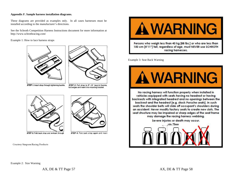#### **Appendix F. Sample harness installation diagrams.**

These diagrams are provided as examples only. In all cases harnesses must be installed according to the manufacturer's directions.

See the Schroth Competition Harness Instructions document for more information at http://www.schrothracing.com/

Example 1: How to lace harness straps





STEP 1: Insert strap through tightening buckle.

STEP 2: Pull strap to 8"-10" beyond buckle, fold edges and insert into mountino bracket.

STEP 4: Fold back strap again and insert





STEP 3: Fold back strap and re-insert through

**Courtesy Simpson Racing Products** 



Example 3: Seat Back Warning



Example 2: Size Warning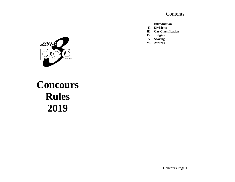# Contents

- **I. Introduction**
- **II. Divisions**
- **III. Car Classification**
- **IV. Judging**
- **V. Scoring**
- **VI. Awards**



# **Concours Rules 2019**

Concours Page 1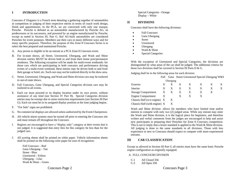# **I INTRODUCTION**

Concours d' Elegance is a French term denoting a gathering together of automobiles in competition or judging of their respective merits in terms of coach work design, finish and appointments. In the PCA, we are concerned with only one marque, Porsche. Porsche is defined as an automobile manufactured by Porsche AG, its predecessors or its successors, and powered by an engine manufactured by Porsche, except as noted in Section III, Part G. Ruf AG-built automobiles are considered Porsches for event purposes. Members use their cars in many different ways and for many specific purposes. Therefore, the purpose of this Zone 8 Concours Series is to select the best prepared and maintained Porsche.

- A. Any person is eligible to be an entrant at a PCA Zone 8 Concours event.
- B. For in-state shows, all Street, Unrestored, Ubergang, and Wash and Shine division entries MUST be driven both to and from their home port/permanent residence. The following exception will be made for multi-event weekends: for those cars which are participating in both concours and performance driving events of a multi-event weekend, these entries may be driven both to and from their garage or hotel, etc. Such cars may not be trailered directly to the show area.
- C. Street, Unrestored, Ubergang, and Wash and Shine division cars may be trailered to out-of-state shows.
- D. Full Concours, Ganz Ubergang, and Special Categories division cars may be trailered to all events.
- E. Each car must proceed to its display location under its own power, without assistance of any kind (see Section IV Part H). Special Categories division entries may be exempt due to noise restriction requirements (see Section III Part G). Each car must be in its assigned display position at the time judging begins.
- F. "For Sale" signs are prohibited.
- G. No commercial displays are allowed unless authorized by the Event Chairperson.
- H. All vehicle alarm systems must be turned off prior to entering the Concours site and must remain off throughout the Concours.
- I. Regions are encouraged to have a "display only" category at their events that is not judged. It is suggested that entry fees for this category be less than for the judged cars.
- J. All scoring sheets shall be printed on white paper. Vehicle information sheets shall be printed on the following color paper for ease of recognition:

Full Concours – Red Ganz Ubergang – Tan Street - Blue Unrestored - Yellow Ubergang – Lilac Wash & Shine – Green Special Categories - Orange Display – White

#### **II DIVISIONS**

Concours shall have the following divisions:

- . Full Concours
- $\bullet$ Ganz Ubergang
- . Street
- . Unrestored
- . Ubergang
- . Wash & Shine
- . Special Categories

With the exception of Unrestored and Special Categories, the divisions are distinguished by what areas of the car shall be judged. The additional criteria for those two divisions shall be covered in Section III Parts D & G.

Judging shall be in the following areas for each division:

|                               |   |          |              |   | Full Ganz Street Unrestored Special Ubergang W&S |   |   |
|-------------------------------|---|----------|--------------|---|--------------------------------------------------|---|---|
|                               |   | Ubergang |              |   |                                                  |   |   |
| Exterior                      | X | X        | $\mathbf{X}$ | X | X                                                |   | X |
| Interior                      | X | X        | X            | X | X                                                | X | X |
| <b>Storage Compartment</b>    | X | X        | $\mathbf{X}$ | X | X                                                | X |   |
| <b>Engine Compartment</b>     | X |          |              | X | X                                                |   |   |
| Chassis Half (w/o engine) $X$ |   | X        |              |   |                                                  |   |   |
| Chassis Half (with engine) X  |   | X        |              |   |                                                  |   |   |

Wash and Shine division allows for members who have limited time and/or interest to compete with only two (2) judged areas. While any entrant may enter the Wash and Shine division, it is the logical place for beginners, and therefore written and verbal comments from the judges are encouraged to help and assist new participants in preparing their Porsches for Zone 8 Concours competition. This is not to imply that a lessor standard is applied to the Wash & Shine division. All judging is done to the same standards in all divisions. Those with less experience or new to Concours should expect to compete with more experienced entrants.

#### **III CAR CLASSIFICATION**

Except as allowed in Section III Part G all entries must have the same basic Porsche engine configuration as originally equipped.

A. FULL CONCOURS DIVISION

- C-1 All Closed 356
- C-2 All Open 356

Concours Page 2

Concours Page 3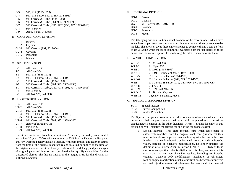- C-3 911, 912 (1965-1973)
- C-4 911, 911 Turbo, 930, 912E (1974-1983)
- C-5 911 Carrera & Turbo (1984-1989)
- C-6 911 Carrera & Turbo (964, 993, 1989-1998)
- C-7 911 Carrera & Turbo, GT2, GT3 (996, 997, 1999-2013)
- C-8 914-4, 914-6
- C-9 All 924, 928, 944, 968

#### B. GANZ UBERGANG DIVISION

- GU-1 Boxster
- GU-2 Cayman
- GU-3 911 Carrera (991, 2012-On)
- GU-4 Cayenne
- GU-5 Panamera
- GU-6 Macan
- C. STREET DIVISION
	- S-1 All Closed 356
	- S-2 All Open 356<br>S-3 911, 912 (196)
	- 911, 912 (1965-1973)
	- S-4 911, 911 Turbo, 930, 912E (1974-1983)
	- S-5 911 Carrera & Turbo (1984-1989)
	- S-6 911 Carrera & Turbo (964, 993, 1989-1998)
	- S-7 911 Carrera & Turbo, GT2, GT3 (996, 997, 1999-2013)
	- S-8 914-4, 914-6
	- S-9 All 924, 928, 944, 968

# D. UNRESTORED DIVISION

- UR-1 All Closed 356
- UR-2 All Open 356
- UR-3 911, 912 (1965-1973)
- UR-4 911, 911 Turbo, 930, 912E (1974-1983)
- UR-5 911 Carrera & Turbo (1984 -1989)
- UR-6 911 Carrera & Turbo (964, 993, 1989-Y-20)
- UR-7 *Reserved for future use*
- UR-8 914,914-6
- UR-9 All 924, 928, 944, 968

Unrestored entries are Porsches, a minimum 20 model years old (current model year minus 20 years, Y-20), with a minimum of 75% Porsche Factory applied paint and 75% Porsche Factory installed interior, with both interior and exterior dating from the time of the original manufacture and installed or applied at the time of the original manufacture at the factory. Only vehicle model, age, and percentages of original paint and interior are considered when qualifying vehicles for the Unrestored classes. This has no impact on the judging areas for this division as outlined in Section II.

#### E. UBERGANG DIVISION

- UG-1 Boxster
- UG-2 Cayman
- UG-3 911 Carrera (991, 2012-On)
- UG-4 Cayenne
- UG-5 Panamera
- UG-6 Macan

The Ubergang division is a transitional division for the newer models which have an engine compartment that is not as accessible as it has traditionally been in older models. This division gives these entries a place to compete that is a step up from Wash & Shine while the rules committee evaluates both the popularity of these entries and the various options for modifying the rules to accommodate them.

F. WASH & SHINE DIVISION

| $W&S-1$  | All Closed 356                                        |
|----------|-------------------------------------------------------|
| $W&S-2$  | All Open 356                                          |
| $W&S-3$  | 911, 912 (1965-1973)                                  |
| $W&S-4$  | 911, 911 Turbo, 930, 912E (1974-1983)                 |
| $W&S-5$  | 911 Carrera & Turbo (1984-1989)                       |
| $W&S-6$  | 911 Carrera & Turbo, (964, 993, 1989-1998)            |
| $W&S-7$  | 911 Carrera & Turbo, GT2, GT3 (996, 997, 991 1999-On) |
| $W&S-8$  | 914-4, 914-6                                          |
| $W&S-9$  | All 924, 928, 944, 968                                |
| $W&S-10$ | All Boxster, Cayman                                   |
| $W&S-11$ | Cayenne, Panamera, Macan                              |

# G. SPECIAL CATEGORIES DIVISION

- SC-1 Special Interest
- SC-2 Current Competition
- SC-3 Limited Production

The Special Categories division is intended to accommodate cars which, either because of their unique nature or their use, might be placed at a competitive disadvantage if entered in the other divisions. A car is eligible for entry in this division only if it satisfies the criteria for one of the following classes:

1. Special Interest. This class includes cars which have been so extensively modified from the original stock configuration that they may not be able to compete on an even footing with the cars in the class in which they would otherwise be included. Any car made by Porsche which, because of extensive modifications, no longer satisfies the definition of a Porsche given in Section I INTRODUCTION of these Concours competition rules is eligible for this class, and cars in this class may have any type of engine installed, including non-Porsche engines. Cosmetic body modifications, installation of roll cages, routine engine modifications such as substitutions between carburetors and fuel injection systems, displacement increases and other internal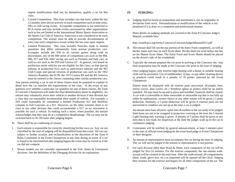engine modifications shall not, by themselves, qualify a car for this class.

- 2. Current Competition. This class includes cars that have, within the last 12 months, been driven actively in track competition such as time trials, DEs or club racing events. Acceptable competition is not restricted to PCA events and may include events sanctioned by other organizations such as but not limited to the International Motor Sports Association or the Sports Car Club of America. Autocross is not considered to be track competition. The entrant must be able to provide documentation of entry into such competitive events within the last year upon request.
- 3. Limited Production. This class includes Porsches made in limited quantities that differ substantially from normal production cars. Examples include the 550 in its various guises along with its descendants, any of the 900 series of competition cars such as the 904, 906, 917 and 934, other racing cars such as Formula and Indy cars, as well as cars such as the 959 and Carrera GT. In general, cars based on production street vehicles are not eligible for this class, so that special editions of production 911s such as anniversary editions and the 997 Club Coupe and special versions of production cars such as the 1952 America Roadster, the 911R, the 1973 Carrera RS and the RS America must be entered in the classes containing other similar production cars.

Any person entering a car in one of these classes must be prepared to explain in detail how the car satisfies the requirements of the class. In the event of any question over whether a particular car qualifies for one of these classes, the Zone 8 Concours Chairperson will make the final determination about its eligibility. An entrant may voluntarily move their vehicle to another division if that division has a class that can reasonably accommodate their model of vehicle. For example, a 959 could reasonably be considered a limited Production 911 and therefore compete in Full Concours as a 911. However, on the other extreme, there is no class in any other division that could accommodate a 917, so no movement is possible for such a vehicle. In making such a move, when possible, the entrant acknowledges that they may be at a competitive disadvantage. The car may not be switched back to SC Division after judging begins.

- H. There shall be no combining of classes.
- I. Each entrant is responsible for correctly classifying his/her own car. Any car not classified by the start of judging will be disqualified from that event. All cars are subject to further scrutiny and reclassification at the discretion of the Zone 8 Rules Committee or the Event Chairperson at any time during an event. If a car is found to be misclassified after judging begins the event may be scored as if the car did not compete.
- J. Newer models are not currently represented in the Full, Street & Unrestored divisions. See the definition of the Ubergang division for an explanation.

# **IV JUDGING:**

A. Judging shall be based on preparation and maintenance, not on originality or deviations from stock. Personalization or modification of the vehicle is not penalized if it is done in a competent and professional manner.

More details on judging methods are covered in the Zone 8 Concours Judge's Manual, available here:

http://zone8.pca.org/forms/Concours/ConcoursJudgesManual2012.pdf

- B. The entrant shall fill out the top portion of the Entry Form completely, as well as his/her name and class on each Score sheet. He/she shall not write below the line on the Master Score Sheet. The Entry Form and Score Sheets should be placed on the driver's side of the windshield.
- C. Typically the entrant prepares the car prior to arriving at the Concours site. Any final preparation may be made at the Concours site prior to the start of judging.

Once judging begins, only exterior light dusting with a duster or suitable dusting cloth will be permitted. Use of toothbrushes, Q-tips, or any other cleaning device or products could result in a penalty of 10 points, assessed by the Event Chairperson.

Entries must be displayed with all exterior parts uncovered. (Example, bras, mirror covers, dust covers, etc.) Windows (glass or plastic) shall be up and/or installed. All tops must be up and in place and installed. Sunroofs shall be closed. A car with a convertible or other removable or retractable top that is not fully up either by malfunction, owners choice or any other reason will be given a 5 point deduction. Similarly, a 5 point deduction will be given if exterior parts are not uncovered or windows are not up at the time a car is judged.

An entrant must have all jacks, spare tires & toolkits in the car ready to be judged. Said items are not to be wrapped in protective covering at the time the 5 minute Light Dusting only warning is given. A penalty of 5 points shall be given to any item that is not ready for inspection at the time the judges walk up to the car to commence judging.

- D. Contestants will be notified, by general announcement, at least 5 minutes prior to the start of official event judging by the event head judge or Event Chairperson or their designee.
- E. An entrant or representative must accompany the car during the time of judging. The car will not be judged if the entrant or representative is not present.
- F. For each division other than Wash & Shine, each component of the car will be judged for five (5) minutes. For the exterior component, the one-minute walkaround will be counted in the total time. After the walk-around, all compartments (door, trunk, glove box, etc.) as requested will be opened off the clock. Judging then resumes for the exterior and begins for all other components of the car. The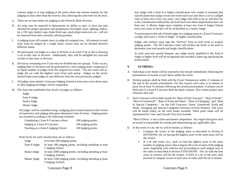exterior judge is to stop judging at the point where one minute remains for the judging of areas other than the exterior, thus allowing the same time for all areas.

- G. There are no time limits for judging in the Wash & Shine division.
- H. An entry may be required to demonstrate its ability to start, or have any part checked for proper operation and maintenance (Example: horn, lighting, brakes, etc.). Oil caps, battery caps, brake fluid caps, spark plug connectors, etc., will not be removed from their normally affixed position.
- I. A judging team will remain intact to judge all assigned cars. All entrants in each class must be judged by a single team; classes may not be divided between different teams.
- J. No participant can judge in a class or division at an event if he or she is showing a car in that class or division. Additionally, they will be ineligible for year-end awards in that class or division.
- K. Divisions containing over 9 cars may be divided into two groups. If this occurs, judging Best of Division will be performed by a new judging team comprised of an equal number of judges from the original two teams. The new team will rejudge the car with the highest score from each group. Judges on the newly formed team must judge an area different from the area previously judged.
- L. All judges must attend a Concours Judging School at least once every three years or their judging privileges will be suspended.
- M. The Zone has established four levels of judges as follows:

Judge Zone 8 Judge

Senior Judge

Master Judge

All judges will be classified using a judging point system based on their levels of experience and judging education obtained at Zone 8 events. Judging points are awarded according to the following schedule:

| Completing a Zone 8 Concours school | 100 judging points |
|-------------------------------------|--------------------|
| Judging at a Zone 8 Concours        | 100 judging points |
| Teaching at a Zone 8 Judging School | 100 judging points |

Point levels for each classification are as follows:

| Judge        | Less than 500 judging points                                                    |
|--------------|---------------------------------------------------------------------------------|
| Zone 8 Judge | At least 500 judging points, including attending at least<br>1 Judging School   |
| Senior Judge | At least 1000 judging points, including attending at least<br>2 Judging Schools |
| Master Judge | At least 1500 judging points, including attending at least<br>3 Judging Schools |

Any judge with a Zone 8 or higher classification who wishes to maintain that classification must judge at least one event each year and show a car in a judged class at least once every two years. Any judge who fails to do so will have his or her classification reduced by one level each year these requirements have not been met. A Master Judge must complete at least one Zone 8 Judges School every two years or he/she will be reclassified as a Senior Judge.

To participate in the role of head judge on a judging team at a Zone 8 Concours a judge must have a "Zone 8 Judge" or higher classification.

Judges and workers must sign the "Service" form at each event to acquire judging points. The Z8 Concours Chair will archive the forms to be used to determine year-end awards and judge classifications.

At each year-end awards banquet, any judge newly qualified at the Zone 8 Judge or higher level will be recognized and awarded a name tag signifying the achievement.

# **V SCORING:**

- A. Individual score sheets will be returned to the entrant immediately following the presentation of awards at each show within the series.
- B. Written protests shall be filed with the Event Chairperson within 15 minutes of the end of the awards presentation. For this reason, each entry is to remain in place for at least 15 minutes following the awards presentation. A protest can be filed only if a Zone 8 Concours Rule has been violated. The written protest must reference that rule.
- C. Each Concours will include awards for "Best of Full Concours", "Best of Street", "Best of Unrestored", "Best of Wash and Shine", "Best of Ubergang", and "Best of Special Categories " for the Full Concours, Street, Unrestored, Wash and Shine, Ubergang and Special Categories Division Overall Winners. The score will be based solely on the total points awarded. These point totals will be maintained for Class and Overall Year-End Awards.

"Best of Show" is not a Zone sanctioned competition. Any region that gives such an award is responsible for setting and administering any applicable rules.

- D. In the event of a tie, the tie will be broken as follows:
	- 1. Compare the scores in the judging areas as described in Section II DIVISIONS, the car having the highest score in the most areas will be the winner.
	- 2. If a tie still exists, (i.e., each car had the highest score in the same number of judging areas), then compare the score in each of the judging areas, beginning with exterior and proceeding to each judged area in the order as described in Section II DIVISIONS. The car with the best score in exterior will be the winner. If there is a tie in this area, then proceed to compare scores in each area in order until the tie is broken.

Concours Page 8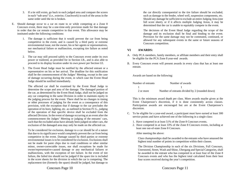- 3. If a tie still exists, go back to each judged area and compare the scores in each "sub-area" (i.e., exterior, Coachwork) in each of the areas in the same order until the tie is broken.
- E. Should damage occur to a car en route to or while competing at a Zone 8 Concours event, there may be a one-time-only provision made for that damage in order that the car remain competitive in that event. This allowance may be instituted under the following conditions:
	- 1. The damage is sufficient that it would prevent the car from being competitive in the event, and is caused by a third party or extreme environmental issue, not the owner, his or her agents or representatives, nor mechanical failure or malfunction, excepting tire failure as noted below.
	- 2. The car may still proceed safely to the Concours event under its own power or trailered, as provided for in Section I.B., and is also able to proceed to its display location under its own power per Section I.E.
	- 3. The Event Head Judge must be notified by the affected entrant or a representative on his or her arrival. The deadline for this notification shall be the commencement of the Judges' Meeting, except in the case of damage occurring during the event, in which case the Event Head Judge should be notified immediately.

The affected car shall be examined by the Event Head Judge to determine the scope and area of the damage. The damaged portion of the car, as determined by the Event Head Judge, shall not be judged on any car competing in the same Division in order to maintain equity in the judging process for the event. There shall be no changes in timing or other processes of judging for the event as a consequence of this provision, with the exception that if damage to the car precludes the operation of its horn, lighting, etc. as outlined in Section IV.G., judging of the operation of that specific device shall be excluded from the affected Division. In the event of damage occurring at an event after the commencement the Judges' Meeting or judging of the entrants' cars, such that the excluded areas have already been judged on other cars, the exclusion of the damaged area may only be made on the affected car.

To be considered for exclusion, damage to a car should be of a nature that due to its significance would completely prevent the car from being competitive in the event. Damage caused by third parties or extreme environmental issues is to be considered for exclusion. Exclusions shall not be made for paint chips due to road conditions or other similar minor, owner-correctable issues, nor shall exceptions be made for owner/representative-caused damage or any mechanical failures or malfunctions, with the exception of tire failure. In the event of tire failure, the failed tire should not be judged if the spare tire is included in the score sheets for the division in which the car is competing. The replacement tire (formerly the spare) should be judged, but damage to the car directly consequential to the tire failure should be excluded, such as damage to the fender, wheel well, suspension components, etc. Should any damage be sufficient to exclude an entire Judging Area (one full score sheet), or if it affects multiple Judging Areas, it may be determined that the car is unable to equitably compete in the event.

The decisions of the Event Head Judge regarding the scope of the damage and its exclusion shall be final and binding to the event. Provision for the same damage may not be commuted, continued, or allowed for any subsequent events in the same or future seasons of Concours competition.

#### **VI AWARDS:**

- A. Only PCA members, family members, or affiliate members and their entry shall be eligible for the PCA Zone 8 year-end awards.
- B. Every Concours event will present awards in every class that has at least one entrant.

Awards are based on the following:

| Number of entrants | Number of awards                               |
|--------------------|------------------------------------------------|
|                    |                                                |
| 2 or more          | Number of entrants divided by 2 (rounded down) |

This is the minimum award depth per class. More awards maybe given at the Event Chairperson's discretion, if it is done consistently across classes. Participation awards are encouraged but are at the Event Chairperson's discretion.

- C. To be eligible for a year-end award, a participant must have earned at least 300 service points and have achieved one of the following in a single class:
	- 1. Have competed in at least 51% of the Zone 8 Concours events.
	- 2. Have competed in at least 33% of the Zone 8 Concours events, including at least one out-of-state Zone 8 Concours.

After meeting the above:

Class championships shall be awarded to the entrants who have amassed the highest total number of points in competition within their classes.

The Division Championship in each of the six Divisions, Full Concours, Unrestored, Street, Wash and Shine, Ubergang and Special Categories, shall be awarded to the entrant who has competed in at least four of the Zone 8 Concours events and who has the highest total calculated from their best four scores received during the year's competition.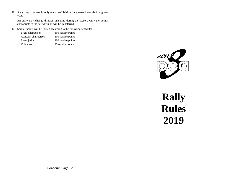D. A car may compete in only one class/division for year-end awards in a given year.

An entry may change division one time during the season. Only the points appropriate to the new division will be transferred.

E. Service points will be earned according to the following schedule:

| Event chairperson     | 300 service points |
|-----------------------|--------------------|
| Assistant chairperson | 100 service points |
| Event judge           | 100 service points |
| Volunteer             | 75 service points  |



# **Rally Rules 2019**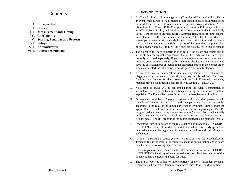# **Contents**

- **I. Introduction**
- **II. Classes**
- **III. Measurement and Timing**
- **IV. Checkpoints**
- **V. Scoring, Penalties and Protests**
- **VI. Delays**
- **VII. Administrative**
- **VIII. Course Instructions**

# **I INTRODUCTION**

- A. All Zone 8 rallies shall be navigational (Time/Speed/Distance) rallies. This is an event where cars follow a prescribed route on public roads at a precise speed or need to arrive at a destination after a precise driving duration. At the discretion of the Zone 8 Rally Chairperson, a Gimmick Rally may be held as an official Zone 8 rally, and be allowed to count towards the Zone 8 Rally Series. For purposes of year end awards, Gimmick Rally points for first, second, third places etc. will be accumulated in the same TSD rally class in which the entrant participated most frequently for that year. If the entrant did not have a class in which they participated the majority of the time, then the points shall be assigned to Class C. Gimmick Rally rules are not covered in this document.
- B. The object of the rally competition is to follow the prescribed course and to arrive at each checkpoint when you are due, neither early nor late. Each leg of the rally is scored separately; if you are late at one checkpoint, you cannot improve your score by arriving early at the next checkpoint. Be sure that you have the correct number of legible route instruction pages, in the correct order. You may not start the rally before your assigned start time for leg one.
- C. Always drive in a safe and legal manner. You may neither drive recklessly nor illegally during the event; if you do, you may be disqualified. The Event Chairperson's decision on these issues will be final. If needed, time delay requests may be submitted in accordance with Section VI. DELAYS.
- D. No alcohol or drugs will be consumed during the event. Consumption of alcohol or use of drugs by any participant during the event will result in expulsion. The Event Chairperson's decision on these issues will be final.
- E. Drivers must be at least 18 years of age and affirm that they possess a valid state driver's license. 16 and 17 year olds may participate (as navigators only) according to the rules of the Junior Participation Program. Minors under the age of 16 are not allowed either as navigator or as other passengers. The JPP program is documented in the Region Procedures Manual, distributed annually by PCA national and on the national website. Adult entrants do not have to be club members. The JPP program is for minors related to club members ONLY.
- F. Deviations from or additions to the rules spelled out in Section VIII COURSE INSTRUCTIONS are allowed if the deviation or addition is clearly spelled out in an addendum at the beginning of the route instructions and is distributed to each entrant.
- G. A "trap" is an event that causes you to arrive early or late at the next checkpoint. Typically this is the result of incorrectly executing an instruction and is based on either course following, speed or time.
- H. Course traps may only be based on the rules outlined in Section VIII COURSE INSTRUCTIONS and any addendums to that section. No other sections of this document may be used as the basis for traps.
- I. The use of two-way radios or mobile/portable phone is forbidden except in emergencies. Contestants found in violation of this rule will be disqualified.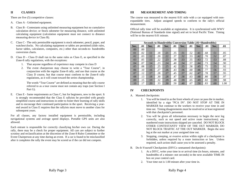### **II CLASSES**

There are five (5) competitive classes:

- A. Class A Unlimited equipment.
- B. Class B Contestants using unlimited measuring equipment but no cumulative calculation device; or Stock odometer for measuring distance, with unlimited calculating equipment (calculation equipment must not connect to distance measuring device in Class B).
- C. Class C The only permissible equipment is stock odometer, pencil, paper, and watches/clocks. No calculating equipment or tables are permitted (slide rules, factor tables, calculators, computers, etc.) other than seconds-to- hundredths conversion charts.
- D. Class D Class D shall run to the same rules as Class E, as specified in the Zone-8 rally regulations, with the exceptions:
	- 1. That anyone regardless of experience may compete in class D
	- 2. The event chairperson may choose to write a "Tour Course", in conjunction with the regular Zone-8 rally, and use that course as the Class D course, but that course must conform to the Zone-8 rally regulations, as it will count toward the series championship.

The words "Tour Course" are defined as meaning that the rally course referred to as a tour course must not contain any traps (see Section I Part G).

E. Class E - Same requirements as Class C, but for beginners, new to the sport. It is strongly recommended that the Class E rallyists be provided with greatly simplified course and instructions in order to foster their learning of rally skills and to encourage their continued participation in the sport. Receiving a yearend award in Class E requires that the rallyists must move to another class for subsequent years.

For all classes, any factory installed equipment is permissible, including navigational systems and average speed displays. Portable GPS units are also allowed.

Each entrant is responsible for correctly classifying his/her own car. During the rally, there may be a check for proper equipment. All cars are subject to further scrutiny and reclassification at the discretion of the Zone 8 Rules Committee or the Event Chairperson at any time during an event. If a car is found to be misclassified after it completes the rally the event may be scored as if the car did not compete.

# **III MEASUREMENT AND TIMING**

The course was measured to the nearest 0.01 mile with a car equipped with nonexpandable tires. Adjust assigned speeds to conform to the rally's official measurement.

Official rally time will be available at registration. It is synchronized with WWV (National Bureau of Standards time signal) and set to local Pacific Time. Timing will be to the nearest 0.01 minute.

| Seconds to Hundredths Conversion Table (.01=Hundredths) |     |      |     |      |     |      |     |      |     |      |      |
|---------------------------------------------------------|-----|------|-----|------|-----|------|-----|------|-----|------|------|
| Sec.                                                    | .01 | Sec. | .01 | Sec. | .01 | Sec. | .01 | Sec. | .01 | Sec. | .01  |
| :00:                                                    | .00 |      |     |      |     |      |     |      |     |      |      |
| :01                                                     | .02 | :11  | .18 | :21  | .35 | :31  | .52 | :41  | .68 | :51  | .85  |
| :02                                                     | .03 | :12  | .20 | :22  | .37 | :32  | .53 | :42  | .70 | :52  | .87  |
| :03                                                     | .05 | :13  | .22 | : 23 | .38 | :33  | .55 | :43  | .72 | :53  | .88  |
| :04                                                     | .07 | :14  | .23 | :24  | .40 | :34  | .57 | :44  | .73 | :54  | .90  |
| :05                                                     | .08 | :15  | .25 | :25  | .42 | :35  | .58 | :45  | .75 | :55  | .92  |
| :06                                                     | .10 | :16  | .27 | :26  | .43 | :36  | .60 | :46  | .77 | :56  | .93  |
| :07                                                     | .12 | :17  | .28 | : 27 | .45 | :37  | .62 | :47  | .78 | :57  | .95  |
| :08                                                     | .13 | :18  | .30 | :28  | .47 | :38  | .63 | :48  | .80 | :58  | .97  |
| :09                                                     | .15 | :19  | .32 | :29  | .48 | :39  | .65 | :49  | .82 | :59  | .98  |
| :10                                                     | .17 | :20  | .33 | :30  | .50 | :40  | .67 | :50  | .83 | :60  | 1.00 |

# **IV CHECKPOINTS**

A. Manned checkpoints:

- 1. You will be timed in as the front wheels of your car pass the in marker, identified by a sign "PCA IN". DO NOT STOP AT THE IN MARKER but continue to the workers to receive your time in and time out. Timing disagreements must be resolved or at least registered with that checkpoint's personnel.
- 2. You will be given all information necessary to begin the next leg correctly, such as out speed and active route instructions); any numbered route instructions skipped are canceled. DO NOT BLOCK OTHER CONTESTANTS' VIEW OF THE OUT MARKER; DO NOT BLOCK TRAFFIC AT THE OUT MARKER. Begin the next leg at the out marker at your assigned time out.
- 3. Stopping, creeping, or evasive action within sight of a checkpoint is forbidden, unless required by a route instruction or law. Unless required, such action shall cause you to be assessed a penalty.
- B. Do-It-Yourself Checkpoints (DIYCs–unmanned checkpoints):
	- 1. At a DIYC, write your time in or arrival time (in hours, minutes, and hundredths of a minute--not seconds) in the next available TIME IN box on your control card.
	- 2. Your time out is 1.00 minute after your time in.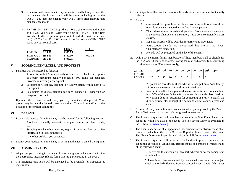- 3. You must write your time in on your control card before you enter the next manned checkpoint, or you will be scored as having missed the DIYC. You may not change your DIYC times after entering that manned checkpoint.
- 4. EXAMPLE: DIYC at "Stop Ahead". Were you to arrive at this sign at 8:46.75, you would: Write your time in (8:46.75) in the first available TIME IN space on your control card; then write your time out  $(8:47.75 = 8:46.75 + 1.00$  minute) in the first available TIME OUT space on your control card.

|                 | LEG <sub>1</sub> | LEG <sub>2</sub> | LEG <sub>3</sub> |
|-----------------|------------------|------------------|------------------|
| TIME IN         | 8:35.89          | 8:46.75          |                  |
| <b>TIME OUT</b> | 8:04.00          | 8:40.00          | 8:47.75          |
| <b>ELAPSED</b>  | 0:31.89          | 0:06.75          |                  |

### **V SCORING, PENALTIES, AND PROTESTS**

- A. Penalties will be assessed as follows:
	- 1. 1 point for each 0.01 minute early or late at each checkpoint, up to a 500 point maximum penalty per leg or 500 points for each leg involved in missing a checkpoint.
	- 2. 50 points for stopping, creeping, or evasive action within sight of a checkpoint.
	- 3. 500 points or disqualification for each instance of unsporting or dangerous conduct.
- B. If you feel there is an error in the rally, you may submit a written protest. Your protest may include the desired corrective action. You will be notified of the decision of the protest committee.

# **VI DELAYS**

- A. Reasonable requests for a time delay may be granted for the following reasons:
	- 1. Blockage of the rally course--for example, by trains, accidents, cattle, etc.
	- 2. Stopping to aid another motorist, to give aid at an accident, or to give information to local authorities.
	- 3. Any other problem you encounter.
- B. Submit your request for a time delay in writing at the next manned checkpoint.

#### **VII ADMINISTRATIVE**

- A. All persons participating in the event (drivers, navigators and workers) will sign the appropriate insurance release forms prior to participating in the event.
- B. The insurance certificate will be displayed or be available for inspection at registration.
- C. Participants shall affirm that there is valid and current car insurance for the rally vehicle.
- D. Awards
	- 1. One award for up to three cars in a class. One additional award per two additional cars entered, up to five Awards per class.
	- 2. This is the minimum award depth per class. More awards maybe given at the Event Chairperson's discretion, if it is done consistently across classes.
	- 3. Separate awards will be awarded for Driver and Navigator.
	- 4. Participation awards are encouraged but are at the Event Chairperson's discretion.
	- 5. Awards will be presented on the day of the event.
- E. Only PCA members, family members, or affiliate members shall be eligible for the PCA Zone 8 year-end awards. Scoring for year-end awards (class finishing position relative to PCA entrants only):

| CLASS<br><b>FINISH</b> | 1 <sub>st</sub> | $\gamma$ nd | 2rd<br>- | ⁄1 th | $\leq$ th<br>ັ | 6 <sup>th</sup> | 7th | oth<br>$\circ$ | Oth | 1 $\cap$ <sup>th</sup><br>◡ | $1$ th |
|------------------------|-----------------|-------------|----------|-------|----------------|-----------------|-----|----------------|-----|-----------------------------|--------|
| <b>POINTS</b>          | ንበ<br>∠∪        | ⊥ັ          | ∸        | ιv    |                | O               | ◡   |                | ◡   | $\sqrt{2}$<br>-             |        |

- 1. 20 points are awarded to those who write and put on a Zone 8 rally. 12 points are awarded for working a Zone 8 rally.
- 2. In order to qualify for a year-end award, entrants must compete in at least 35% of the year's Zone 8 rally events in a single class. Writing or working does not substitute for competing in a rally to satisfy the 35% requirements, although the points do count towards a year-end award.
- F. All Zone 8 Rally instructions and courses must be pre-approved by the Zone 8 Rally Chairperson or that person's designated representative.
- G. The Event chairperson shall complete and submit the Post Event Report and submit it within five days of the event. The Post Event Report is available in the RPM or on www.pca.org
- H. The Event chairperson shall appoint an independent safety observer who shall complete and submit the Event Observer Report within ten days of the event. The Event Observers Report is available in the RPM or on www.pca.org
- I. The Event chairperson shall ensure that an Incident Report is completed and submitted as required. An Incident Report should be completed whenever any of the following occur:

1. There is car-to-car contact of any sort, whether or not the damage can be "rubbed out."

2. There is car damage caused by contact with an immovable object which cannot be buffed out. Damage caused by contact with debris does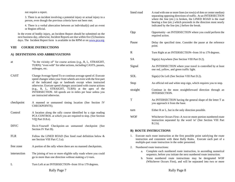|              | not require a report.                                                                                                                                           | lined road                                                                                                                                                      | A road with one or more lines (or row(s) of dots or center median)                                                                                                                                  |  |  |
|--------------|-----------------------------------------------------------------------------------------------------------------------------------------------------------------|-----------------------------------------------------------------------------------------------------------------------------------------------------------------|-----------------------------------------------------------------------------------------------------------------------------------------------------------------------------------------------------|--|--|
|              | 3. There is an incident involving a potential injury or actual injury to a<br>person, even though the previous criteria have not been met.                      |                                                                                                                                                                 | separating opposing directions of traffic. At an INTERSECTION<br>where the line (etc.) is broken, the LINED ROAD is the road<br>bearing a line (etc.) which proceeds in the direction most nearly   |  |  |
|              | 4. There is a verbal altercation between an individual(s) and an event<br>or Region official.                                                                   |                                                                                                                                                                 | indicated by the line (etc.) before the break.                                                                                                                                                      |  |  |
|              | In the event of bodily injury, an Incident Report should be submitted on the<br>next business day, otherwise, Incident Reports are due within five (5) business | Opp                                                                                                                                                             | Opportunity –an INTERSECTION where you could perform the<br>required action.                                                                                                                        |  |  |
|              | days. The Incident Report form is available in the RPM or on www.pca.org                                                                                        | Pause                                                                                                                                                           | Delay the specified time. Consider the pause at the reference<br>point.                                                                                                                             |  |  |
| VIII         | <b>COURSE INSTRUCTIONS</b>                                                                                                                                      |                                                                                                                                                                 | Turn Right at an INTERSECTION--from 10 to 179 degrees.                                                                                                                                              |  |  |
|              | A) DEFINITIONS AND ABBREVIATIONS                                                                                                                                | $\mathbb{R}$                                                                                                                                                    |                                                                                                                                                                                                     |  |  |
| at           | "In the vicinity of" for course actions (e.g., R, L, STRAIGHT,                                                                                                  | <b>SA</b>                                                                                                                                                       | Sign(s) Anywhere (See Section VIII Part D.2).                                                                                                                                                       |  |  |
|              | TURN); "even with" for other actions, including CASTS, pauses,<br>mileages, etc.                                                                                | Signal                                                                                                                                                          | An INTERSECTION where your travel is controlled by at least<br>one red, yellow, and green traffic light.                                                                                            |  |  |
| CAST         | Change Average Speed To or continue average speed of. Execute<br>speed changes when your front wheels are even with the first part                              | <b>SOL</b>                                                                                                                                                      | Sign(s) On Left (See Section VIII Part D.2).                                                                                                                                                        |  |  |
|              | of the indicated sign or landmark except when instructed<br>otherwise. Execute speed changes associated with course actions                                     | Stop                                                                                                                                                            | An official red and white stop sign, which requires you to stop.                                                                                                                                    |  |  |
|              | (e.g., R, L, STRAIGHT, TURN) at the apex of the<br>INTERSECTION. All speeds are in miles per hour unless you<br>are instructed otherwise.                       | straight                                                                                                                                                        | Continue in the most straightforward direction through an<br>INTERSECTION.                                                                                                                          |  |  |
| checkpoint   | A manned or unmanned timing location (See Section IV<br>CHECKPOINTS).                                                                                           | $\mathbf T$                                                                                                                                                     | An INTERSECTION having the general shape of the letter T as<br>you approach it from the base.                                                                                                       |  |  |
| Control      | A location along the rally course identified by a sign reading                                                                                                  | turn                                                                                                                                                            | Either R or L, but in the only direction possible.                                                                                                                                                  |  |  |
|              | PCA CONTROL at which you are required to stop. (See Section<br>VIII Part D.8.e).                                                                                | <b>WOF</b>                                                                                                                                                      | Whichever Occurs First--A two-or-more portion numbered route<br>instruction separated by the word 'or' (See Section VIII Part<br>$B.2.b$ ).                                                         |  |  |
| <b>DIYC</b>  | Do-it-Yourself Checkpoint--an unmanned checkpoint (See<br>Section IV Part B).                                                                                   |                                                                                                                                                                 | <b>B) ROUTE INSTRUCTIONS</b>                                                                                                                                                                        |  |  |
| <b>FLR</b>   | Follow the LINED ROAD (See lined road definition below &<br>see Section VIII Part C.3.a).                                                                       | 1. Execute each route instruction at the first possible point satisfying the route<br>instruction and consistent with these Rally Rules. Execute each part of a |                                                                                                                                                                                                     |  |  |
| free zone    | A portion of the rally where there are no manned checkpoints.                                                                                                   |                                                                                                                                                                 | multiple-part route instruction in the order presented.<br>Numbered route instructions:                                                                                                             |  |  |
| intersection | The joining of two or more eligible rally roads where you could<br>go in more than one direction without making a U-turn.                                       |                                                                                                                                                                 | Complete each numbered route instruction, in ascending numerical<br>sequence, before you initiate the next numbered route instruction.<br>b. Some numbered route instructions may be designated WOF |  |  |
| L            | Turn Left at an INTERSECTION--from 10 to 179 degrees.                                                                                                           |                                                                                                                                                                 | (Whichever Occurs First), and will be separated into two or more                                                                                                                                    |  |  |
|              | Rally Page 7                                                                                                                                                    |                                                                                                                                                                 | Rally Page 8                                                                                                                                                                                        |  |  |